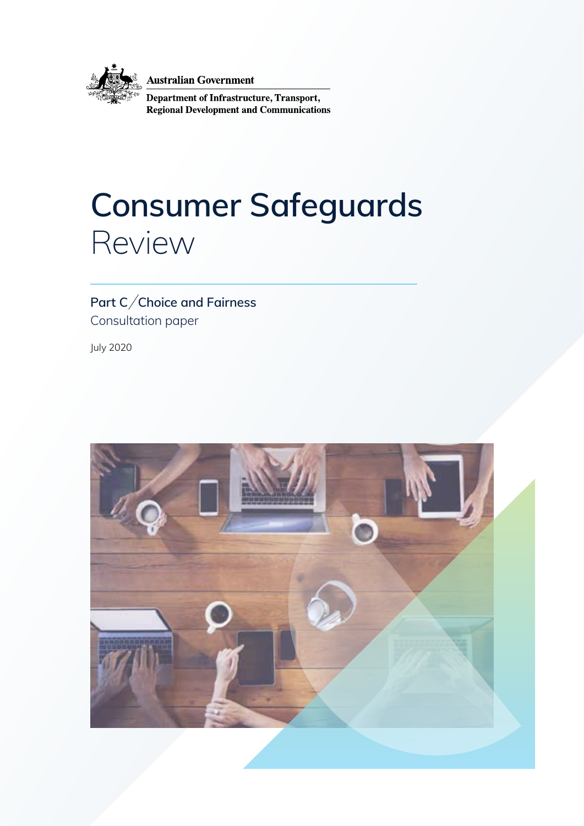

**Australian Government** 

Department of Infrastructure, Transport, **Regional Development and Communications** 

# **Consumer Safeguards**  Review

### Part C/Choice and Fairness Consultation paper

July 2020

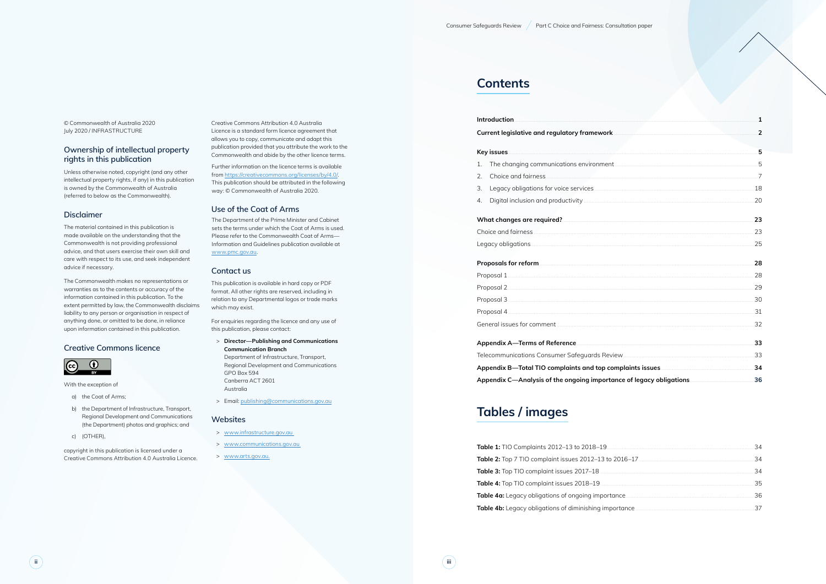© Commonwealth of Australia 2020 July 2020 / INFRASTRUCTURE

#### **Ownership of intellectual property rights in this publication**

Unless otherwise noted, copyright (and any other intellectual property rights, if any) in this publication is owned by the Commonwealth of Australia (referred to below as the Commonwealth).

#### **Disclaimer**

The material contained in this publication is made available on the understanding that the Commonwealth is not providing professional advice, and that users exercise their own skill and care with respect to its use, and seek independent advice if necessary.

The Commonwealth makes no representations or warranties as to the contents or accuracy of the information contained in this publication. To the extent permitted by law, the Commonwealth disclaims liability to any person or organisation in respect of anything done, or omitted to be done, in reliance upon information contained in this publication.

#### **Creative Commons licence**



With the exception of

- a) the Coat of Arms;
- b) the Department of Infrastructure, Transport, Regional Development and Communications (the Department) photos and graphics; and
- c) (OTHER),

copyright in this publication is licensed under a Creative Commons Attribution 4.0 Australia Licence.

Creative Commons Attribution 4.0 Australia Licence is a standard form licence agreement that allows you to copy, communicate and adapt this publication provided that you attribute the work to the Commonwealth and abide by the other licence terms.

Further information on the licence terms is available from [https://creativecommons.org/licenses/by/4.0/.](https://creativecommons.org/licenses/by/4.0/) This publication should be attributed in the following way: © Commonwealth of Australia 2020.

#### **Use of the Coat of Arms**

The Department of the Prime Minister and Cabinet sets the terms under which the Coat of Arms is used. Please refer to the Commonwealth Coat of Arms— Information and Guidelines publication available at [www.pmc.gov.au.](http://www.pmc.gov.au)

#### **Contact us**

This publication is available in hard copy or PDF format. All other rights are reserved, including in relation to any Departmental logos or trade marks which may exist.

For enquiries regarding the licence and any use of this publication, please contact:

- > **Director—Publishing and Communications Communication Branch** Department of Infrastructure, Transport, Regional Development and Communications GPO Box 594 Canberra ACT 2601 Australia
- > Email: [publishing@communications.gov.au](mailto:publishing@communications.gov.au)

#### **Websites**

- > [www.infrastructure.gov.au](http://www.infrastructure.gov.au)
- > [www.communications.gov.au](http://www.communications.gov.au)
- > [www.arts.gov.au.](http://www.arts.gov.au)

### **Contents**

#### **Current legislative and regulatory framework**

- 1. The changing communications environment.
- 2. Choice and fairness.
- 3. Legacy obligations for voice services
- 4. Digital inclusion and productivity

#### What changes are required?..

#### **Proposals for reform.**

| Introduction<br>1.<br>2.<br>3.<br>4.<br>What changes are required? <b>Constitution and the construction of the constant of the constant of the constant of the construction of the constant of the constant of the constant of the constant of the constant of the const</b> |                                                                                  | 5  |
|------------------------------------------------------------------------------------------------------------------------------------------------------------------------------------------------------------------------------------------------------------------------------|----------------------------------------------------------------------------------|----|
|                                                                                                                                                                                                                                                                              |                                                                                  |    |
|                                                                                                                                                                                                                                                                              |                                                                                  |    |
|                                                                                                                                                                                                                                                                              |                                                                                  | 18 |
|                                                                                                                                                                                                                                                                              |                                                                                  | 20 |
|                                                                                                                                                                                                                                                                              |                                                                                  | 23 |
|                                                                                                                                                                                                                                                                              |                                                                                  | 23 |
|                                                                                                                                                                                                                                                                              |                                                                                  | 25 |
|                                                                                                                                                                                                                                                                              |                                                                                  | 28 |
|                                                                                                                                                                                                                                                                              |                                                                                  | 28 |
|                                                                                                                                                                                                                                                                              |                                                                                  |    |
|                                                                                                                                                                                                                                                                              |                                                                                  | 30 |
|                                                                                                                                                                                                                                                                              |                                                                                  |    |
|                                                                                                                                                                                                                                                                              |                                                                                  | 32 |
|                                                                                                                                                                                                                                                                              |                                                                                  | 33 |
|                                                                                                                                                                                                                                                                              |                                                                                  |    |
|                                                                                                                                                                                                                                                                              |                                                                                  | 34 |
|                                                                                                                                                                                                                                                                              | Appendix C—Analysis of the ongoing importance of legacy obligations………………………………… | 36 |

|    | 34 |
|----|----|
|    | 34 |
|    | 34 |
| 35 |    |
|    |    |
|    | 37 |
|    |    |

| 28 |
|----|
| つの |
| RU |
|    |
| コつ |

#### Appendix A-Terms of Reference

### **Tables / images**

Table 1: TIO Complaints 2012-13 to 2018-19. **Table 2:** Top 7 TIO complaint issues 2012–13 to 2016 Table 3: Top TIO complaint issues 2017-18 Table 4: Top TIO complaint issues 2018-19 Table 4a: Legacy obligations of ongoing importance Table 4b: Legacy obligations of diminishing importal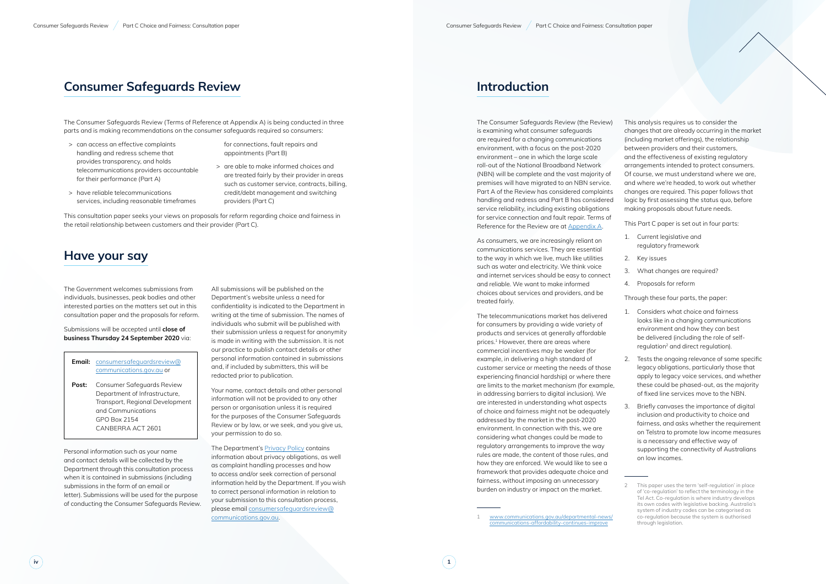The Consumer Safeguards Review (the Review) is examining what consumer safeguards are required for a changing communications environment, with a focus on the post-2020 environment – one in which the large scale roll-out of the National Broadband Network (NBN) will be complete and the vast majority of premises will have migrated to an NBN service. Part A of the Review has considered complaints handling and redress and Part B has considered service reliability, including existing obligations for service connection and fault repair. Terms of Reference for the Review are at Appendix A.

**1**

## **Introduction**

As consumers, we are increasingly reliant on communications services. They are essential to the way in which we live, much like utilities such as water and electricity. We think voice and internet services should be easy to connect and reliable. We want to make informed choices about services and providers, and be treated fairly.

The telecommunications market has delivered for consumers by providing a wide variety of products and services at generally affordable prices. 1 However, there are areas where commercial incentives may be weaker (for example, in delivering a high standard of customer service or meeting the needs of those experiencing financial hardship) or where there are limits to the market mechanism (for example, in addressing barriers to digital inclusion). We are interested in understanding what aspects of choice and fairness might not be adequately addressed by the market in the post-2020 environment. In connection with this, we are considering what changes could be made to regulatory arrangements to improve the way rules are made, the content of those rules, and how they are enforced. We would like to see a framework that provides adequate choice and fairness, without imposing an unnecessary burden on industry or impact on the market.

This analysis requires us to consider the changes that are already occurring in the market (including market offerings), the relationship between providers and their customers, and the effectiveness of existing regulatory arrangements intended to protect consumers. Of course, we must understand where we are, and where we're headed, to work out whether changes are required. This paper follows that logic by first assessing the status quo, before making proposals about future needs.

This Part C paper is set out in four parts:

- 1. Current legislative and regulatory framework
- 2. Key issues
- 3. What changes are required?
- 4. Proposals for reform

Through these four parts, the paper:

- 1. Considers what choice and fairness looks like in a changing communications environment and how they can best be delivered (including the role of selfregulation<sup>2</sup> and direct regulation).
- 2. Tests the ongoing relevance of some specific legacy obligations, particularly those that apply to legacy voice services, and whether these could be phased-out, as the majority of fixed line services move to the NBN.
- 3. Briefly canvases the importance of digital inclusion and productivity to choice and fairness, and asks whether the requirement on Telstra to promote low income measures is a necessary and effective way of supporting the connectivity of Australians on low incomes.

## **Consumer Safeguards Review**

The Consumer Safeguards Review (Terms of Reference at Appendix A) is being conducted in three parts and is making recommendations on the consumer safeguards required so consumers:

> can access an effective complaints handling and redress scheme that provides transparency, and holds telecommunications providers accountable for their performance (Part A)

> have reliable telecommunications

services, including reasonable timeframes

- for connections, fault repairs and appointments (Part B)
- > are able to make informed choices and are treated fairly by their provider in areas such as customer service, contracts, billing, credit/debt management and switching providers (Part C)

This consultation paper seeks your views on proposals for reform regarding choice and fairness in the retail relationship between customers and their provider (Part C).

### **Have your say**

The Government welcomes submissions from individuals, businesses, peak bodies and other interested parties on the matters set out in this consultation paper and the proposals for reform.

Submissions will be accepted until **close of business Thursday 24 September 2020** via:

#### **Email:** c[onsumersafeguardsreview@](mailto:consumersafeguardsreview@communications.gov.au) [communications.gov.au](mailto:consumersafeguardsreview@communications.gov.au) or

**Post:** Consumer Safeguards Review Department of Infrastructure, Transport, Regional Development and Communications GPO Box 2154 CANBERRA ACT 2601

Personal information such as your name and contact details will be collected by the Department through this consultation process when it is contained in submissions (including submissions in the form of an email or letter). Submissions will be used for the purpose of conducting the Consumer Safeguards Review.

All submissions will be published on the Department's website unless a need for confidentiality is indicated to the Department in writing at the time of submission. The names of individuals who submit will be published with their submission unless a request for anonymity is made in writing with the submission. It is not our practice to publish contact details or other personal information contained in submissions and, if included by submitters, this will be redacted prior to publication.

Your name, contact details and other personal information will not be provided to any other person or organisation unless it is required for the purposes of the Consumer Safeguards Review or by law, or we seek, and you give us, your permission to do so.

The Department's [Privacy Policy](https://www.communications.gov.au/documents/australian-privacy-principles-privacy-policy) contains information about privacy obligations, as well as complaint handling processes and how to access and/or seek correction of personal information held by the Department. If you wish to correct personal information in relation to your submission to this consultation process, please email [consumersafeguardsreview@](mailto:consumersafeguardsreview@communications.gov.au) [communications.gov.au](mailto:consumersafeguardsreview@communications.gov.au) .

[www.communications.gov.au/departmental-news/](http://www.communications.gov.au/departmental-news/communications-affordability-continues-improve) [communications-affordability-continues-improve](http://www.communications.gov.au/departmental-news/communications-affordability-continues-improve)

This paper uses the term 'self-regulation' in place of 'co-regulation' to reflect the terminology in the Tel Act. Co-regulation is where industry develops its own codes with legislative backing. Australia's system of industry codes can be categorised as co-regulation because the system is authorised through legislation.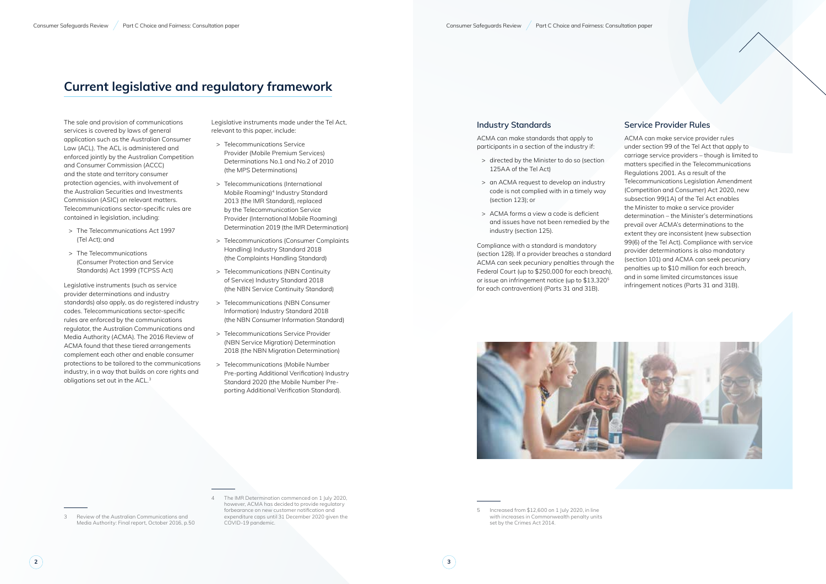## **Current legislative and regulatory framework**

The sale and provision of communications services is covered by laws of general application such as the Australian Consumer Law (ACL). The ACL is administered and enforced jointly by the Australian Competition and Consumer Commission (ACCC) and the state and territory consumer protection agencies, with involvement of the Australian Securities and Investments Commission (ASIC) on relevant matters. Telecommunications sector-specific rules are contained in legislation, including:

- > The Telecommunications Act 1997 (Tel Act); and
- > The Telecommunications (Consumer Protection and Service Standards) Act 1999 (TCPSS Act)

Legislative instruments (such as service provider determinations and industry standards) also apply, as do registered industry codes. Telecommunications sector-specific rules are enforced by the communications regulator, the Australian Communications and Media Authority (ACMA). The 2016 Review of ACMA found that these tiered arrangements complement each other and enable consumer protections to be tailored to the communications industry, in a way that builds on core rights and obligations set out in the ACL.3

> The IMR Determination commenced on 1 July 2020, however, ACMA has decided to provide regulatory forbearance on new customer notification and expenditure caps until 31 December 2020 given the COVID-19 pandemic.

Legislative instruments made under the Tel Act, relevant to this paper, include:

> Increased from \$12,600 on 1 July 2020, in line with increases in Commonwealth penalty units set by the Crimes Act 2014.

- > Telecommunications Service Provider (Mobile Premium Services) Determinations No.1 and No.2 of 2010 (the MPS Determinations)
- > Telecommunications (International Mobile Roaming)4 Industry Standard 2013 (the IMR Standard), replaced by the Telecommunication Service Provider (International Mobile Roaming) Determination 2019 (the IMR Determination)
- > Telecommunications (Consumer Complaints Handling) Industry Standard 2018 (the Complaints Handling Standard)
- > Telecommunications (NBN Continuity of Service) Industry Standard 2018 (the NBN Service Continuity Standard)
- > Telecommunications (NBN Consumer Information) Industry Standard 2018 (the NBN Consumer Information Standard)
- > Telecommunications Service Provider (NBN Service Migration) Determination 2018 (the NBN Migration Determination)
- > Telecommunications (Mobile Number Pre-porting Additional Verification) Industry Standard 2020 (the Mobile Number Preporting Additional Verification Standard).

#### **Industry Standards**

ACMA can make standards that apply to participants in a section of the industry if:

- > directed by the Minister to do so (section 125AA of the Tel Act)
- > an ACMA request to develop an industry code is not complied with in a timely way (section 123); or
- > ACMA forms a view a code is deficient and issues have not been remedied by the industry (section 125).

Compliance with a standard is mandatory (section 128). If a provider breaches a standard ACMA can seek pecuniary penalties through the Federal Court (up to \$250,000 for each breach), or issue an infringement notice (up to \$13,3205 for each contravention) (Parts 31 and 31B).



#### **Service Provider Rules**

ACMA can make service provider rules under section 99 of the Tel Act that apply to carriage service providers – though is limited to matters specified in the Telecommunications Regulations 2001. As a result of the Telecommunications Legislation Amendment (Competition and Consumer) Act 2020, new subsection 99(1A) of the Tel Act enables the Minister to make a service provider determination – the Minister's determinations prevail over ACMA's determinations to the extent they are inconsistent (new subsection 99(6) of the Tel Act). Compliance with service provider determinations is also mandatory (section 101) and ACMA can seek pecuniary penalties up to \$10 million for each breach, and in some limited circumstances issue infringement notices (Parts 31 and 31B).

Review of the Australian Communications and [Media Authority: Final report](https://www.communications.gov.au/what-we-do/television/media/acma-review/acma-review-final-report), October 2016, p.50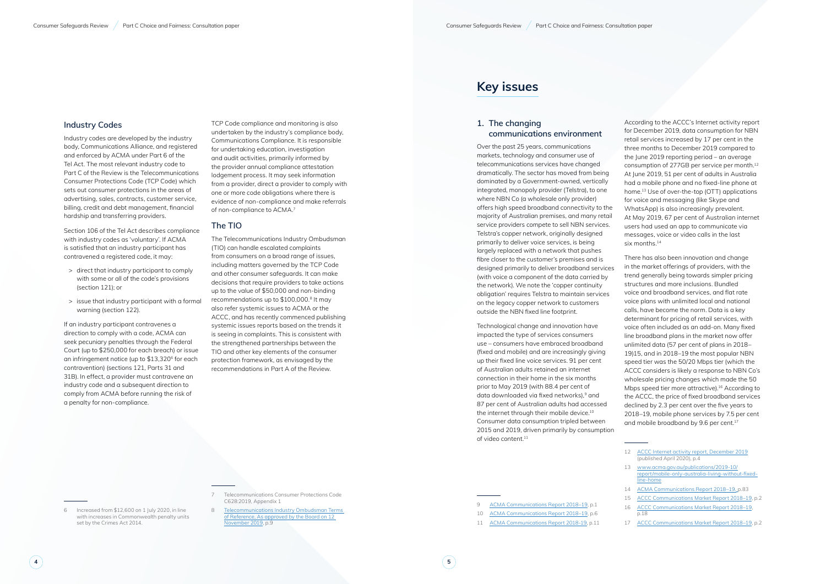### **Industry Codes**

Industry codes are developed by the industry body, Communications Alliance, and registered and enforced by ACMA under Part 6 of the Tel Act. The most relevant industry code to Part C of the Review is the Telecommunications Consumer Protections Code (TCP Code) which sets out consumer protections in the areas of advertising, sales, contracts, customer service, billing, credit and debt management, financial hardship and transferring providers.

If an industry participant contravenes a direction to comply with a code, ACMA can seek pecuniary penalties through the Federal Court (up to \$250,000 for each breach) or issue an infringement notice (up to \$13,320 6 for each contravention) (sections 121, Parts 31 and 31B). In effect, a provider must contravene an industry code and a subsequent direction to comply from ACMA before running the risk of a penalty for non-compliance.<br>
Fraceased from \$12,600 on 1 July 2020, in line

Section 106 of the Tel Act describes compliance with industry codes as 'voluntary'. If ACMA is satisfied that an industry participant has contravened a registered code, it may:

- > direct that industry participant to comply with some or all of the code's provisions (section 121); or
- > issue that industry participant with a formal warning (section 122).

8 Telecommunications Industry Ombudsman Terms of Reference, As approved by the Board on 12 [November 2019,](https://www.tio.com.au/sites/default/files/2020-03/TIO%20TERMS%20OF%20REFERENCE_FINAL%2012%20November%202019.pdf) p.9

TCP Code compliance and monitoring is also undertaken by the industry's compliance body, Communications Compliance. It is responsible for undertaking education, investigation and audit activities, primarily informed by the provider annual compliance attestation lodgement process. It may seek information from a provider, direct a provider to comply with one or more code obligations where there is evidence of non-compliance and make referrals of non-compliance to ACMA. 7

### **The TIO**

According to the ACCC's Internet activity report for December 2019, data consumption for NBN retail services increased by 17 per cent in the three months to December 2019 compared to the June 2019 reporting period – an average consumption of 277GB per service per month.12 At June 2019, 51 per cent of adults in Australia had a mobile phone and no fixed-line phone at home.13 Use of over-the-top (OTT) applications for voice and messaging (like Skype and WhatsApp) is also increasingly prevalent. At May 2019, 67 per cent of Australian internet users had used an app to communicate via messages, voice or video calls in the last six months.<sup>14</sup>

The Telecommunications Industry Ombudsman (TIO) can handle escalated complaints from consumers on a broad range of issues, including matters governed by the TCP Code and other consumer safeguards. It can make decisions that require providers to take actions up to the value of \$50,000 and non-binding recommendations up to \$100,000. 8 It may also refer systemic issues to ACMA or the ACCC, and has recently commenced publishing systemic issues reports based on the trends it is seeing in complaints. This is consistent with the strengthened partnerships between the TIO and other key elements of the consumer protection framework, as envisaged by the

There has also been innovation and change in the market offerings of providers, with the trend generally being towards simpler pricing structures and more inclusions. Bundled voice and broadband services, and flat rate voice plans with unlimited local and national calls, have become the norm. Data is a key determinant for pricing of retail services, with voice often included as an add-on. Many fixed line broadband plans in the market now offer unlimited data (57 per cent of plans in 2018– 19)15, and in 2018–19 the most popular NBN speed tier was the 50/20 Mbps tier (which the ACCC considers is likely a response to NBN Co's wholesale pricing changes which made the 50 Mbps speed tier more attractive).<sup>16</sup> According to the ACCC, the price of fixed broadband services declined by 2.3 per cent over the five years to 2018–19, mobile phone services by 7.5 per cent and mobile broadband by 9.6 per cent.<sup>17</sup>

recommendations in Part A of the Review. 7 Telecommunications Consumer Protections Code [C628:2019,](https://www.commsalliance.com.au/__data/assets/pdf_file/0011/64784/TCP-C628_2019.pdf) Appendix 1

### **Key issues**

#### **1. The changing communications environment**

Over the past 25 years, communications markets, technology and consumer use of telecommunications services have changed dramatically. The sector has moved from being dominated by a Government-owned, vertically integrated, monopoly provider (Telstra), to one where NBN Co (a wholesale only provider) offers high speed broadband connectivity to the majority of Australian premises, and many retail service providers compete to sell NBN services. Telstra's copper network, originally designed primarily to deliver voice services, is being largely replaced with a network that pushes fibre closer to the customer's premises and is designed primarily to deliver broadband services (with voice a component of the data carried by the network). We note the 'copper continuity obligation' requires Telstra to maintain services on the legacy copper network to customers outside the NBN fixed line footprint.

Technological change and innovation have impacted the type of services consumers use – consumers have embraced broadband (fixed and mobile) and are increasingly giving up their fixed line voice services. 91 per cent of Australian adults retained an internet connection in their home in the six months prior to May 2019 (with 88.4 per cent of data downloaded via fixed networks), 9 and 87 per cent of Australian adults had accessed the internet through their mobile device.<sup>10</sup> Consumer data consumption tripled between 2015 and 2019, driven primarily by consumption of video content.11

- 9 [ACMA Communications Report 2018–19,](https://www.acma.gov.au/sites/default/files/2020-02/Communications%20report%202018-19.pdf) p.1
- 10 [ACMA Communications Report 2018–19,](https://www.acma.gov.au/sites/default/files/2020-02/Communications%20report%202018-19.pdf) p.6
- 11 [ACMA Communications Report 2018-19,](https://www.acma.gov.au/sites/default/files/2020-04/Communications%20report%202018-19.pdf) p.11

with increases in Commonwealth penalty units set by the Crimes Act 2014.

<sup>12</sup> [ACCC Internet activity report, December 2019](https://www.accc.gov.au/system/files/Internet%20Activity%20Report%20%28December%202019%29.pdf) (published April 2020), p.4

<sup>13</sup> [www.acma.gov.au/publications/2019-10/](http://www.acma.gov.au/publications/2019-10/report/mobile-only-australia-living-without-fixed-line-home) [report/mobile-only-australia-living-without-fixed](http://www.acma.gov.au/publications/2019-10/report/mobile-only-australia-living-without-fixed-line-home)[line-home](http://www.acma.gov.au/publications/2019-10/report/mobile-only-australia-living-without-fixed-line-home)

<sup>14</sup> [ACMA Communications Report 2018–19,](https://www.acma.gov.au/sites/default/files/2020-02/Communications%20report%202018-19.pdf) p.83

<sup>15</sup> [ACCC Communications Market Report 2018–19,](https://www.accc.gov.au/system/files/Communications%20Market%20Report%202018-19%20-%20December%202019_D07.pdf) p.2

<sup>16</sup> [ACCC Communications Market Report 2018–19,](https://www.accc.gov.au/system/files/Communications%20Market%20Report%202018-19%20-%20December%202019_D07.pdf) p.18

<sup>17</sup> [ACCC Communications Market Report 2018–19,](https://www.accc.gov.au/system/files/Communications%20Market%20Report%202018-19%20-%20December%202019_D07.pdf) p.2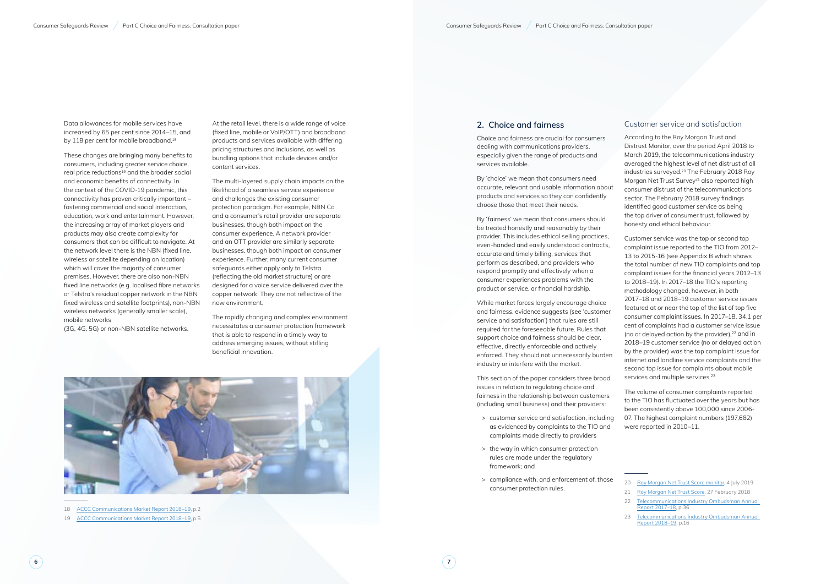Data allowances for mobile services have increased by 65 per cent since 2014–15, and by 118 per cent for mobile broadband.<sup>18</sup>

These changes are bringing many benefits to consumers, including greater service choice, real price reductions<sup>19</sup> and the broader social and economic benefits of connectivity. In the context of the COVID-19 pandemic, this connectivity has proven critically important – fostering commercial and social interaction, education, work and entertainment. However, the increasing array of market players and products may also create complexity for consumers that can be difficult to navigate. At the network level there is the NBN (fixed line, wireless or satellite depending on location) which will cover the majority of consumer premises. However, there are also non-NBN fixed line networks (e.g. localised fibre networks or Telstra's residual copper network in the NBN fixed wireless and satellite footprints), non-NBN wireless networks (generally smaller scale), mobile networks

(3G, 4G, 5G) or non-NBN satellite networks.

18 [ACCC Communications Market Report 2018–19,](https://www.accc.gov.au/system/files/Communications%20Market%20Report%202018-19%20-%20December%202019_D07.pdf) p.2

19 [ACCC Communications Market Report 2018–19,](https://www.accc.gov.au/system/files/Communications%20Market%20Report%202018-19%20-%20December%202019_D07.pdf) p.5

At the retail level, there is a wide range of voice (fixed line, mobile or VoIP/OTT) and broadband products and services available with differing pricing structures and inclusions, as well as bundling options that include devices and/or content services.

The multi-layered supply chain impacts on the likelihood of a seamless service experience and challenges the existing consumer protection paradigm. For example, NBN Co and a consumer's retail provider are separate businesses, though both impact on the consumer experience. A network provider and an OTT provider are similarly separate businesses, though both impact on consumer experience. Further, many current consumer safeguards either apply only to Telstra (reflecting the old market structure) or are designed for a voice service delivered over the copper network. They are not reflective of the new environment.

Customer service was the top or second top complaint issue reported to the TIO from 2012– 13 to 2015-16 (see Appendix B which shows the total number of new TIO complaints and top complaint issues for the financial years 2012–13 to 2018–19). In 2017–18 the TIO's reporting methodology changed, however, in both 2017–18 and 2018–19 customer service issues featured at or near the top of the list of top five consumer complaint issues. In 2017–18, 34.1 per cent of complaints had a customer service issue (no or delayed action by the provider), $22$  and in 2018–19 customer service (no or delayed action by the provider) was the top complaint issue for internet and landline service complaints and the second top issue for complaints about mobile services and multiple services.<sup>23</sup>

The rapidly changing and complex environment necessitates a consumer protection framework that is able to respond in a timely way to address emerging issues, without stifling beneficial innovation.



#### **2. Choice and fairness**

Choice and fairness are crucial for consumers dealing with communications providers, especially given the range of products and services available.

By 'choice' we mean that consumers need accurate, relevant and usable information about products and services so they can confidently choose those that meet their needs.

By 'fairness' we mean that consumers should be treated honestly and reasonably by their provider. This includes ethical selling practices, even-handed and easily understood contracts, accurate and timely billing, services that perform as described, and providers who respond promptly and effectively when a consumer experiences problems with the product or service, or financial hardship.

While market forces largely encourage choice and fairness, evidence suggests (see 'customer service and satisfaction') that rules are still required for the foreseeable future. Rules that support choice and fairness should be clear, effective, directly enforceable and actively enforced. They should not unnecessarily burden industry or interfere with the market.

This section of the paper considers three broad issues in relation to regulating choice and fairness in the relationship between customers (including small business) and their providers:

- > customer service and satisfaction, including as evidenced by complaints to the TIO and complaints made directly to providers
- > the way in which consumer protection rules are made under the regulatory framework; and
- > compliance with, and enforcement of, those consumer protection rules.

#### Customer service and satisfaction

According to the Roy Morgan Trust and Distrust Monitor, over the period April 2018 to March 2019, the telecommunications industry averaged the highest level of net distrust of all industries surveyed.20 The February 2018 Roy Morgan Net Trust Survey<sup>21</sup> also reported high consumer distrust of the telecommunications sector. The February 2018 survey findings identified good customer service as being the top driver of consumer trust, followed by honesty and ethical behaviour.

The volume of consumer complaints reported to the TIO has fluctuated over the years but has been consistently above 100,000 since 2006- 07. The highest complaint numbers (197,682) were reported in 2010–11.

<sup>22</sup> Telecommunications Industry Ombudsman Annual [Report 2017–18](https://www.tio.com.au/__data/assets/pdf_file/0006/257325/Telecommunications-Industry-Ombudsman-Annual-Report-2018.pdf), p.36

<sup>23</sup> Telecommunications Industry Ombudsman Annual [Report 2018–19](https://www.tio.com.au/sites/default/files/2019-09/TIO%20Annual%20Report%202018-19.pdf), p.16

<sup>20</sup> [Roy Morgan Net Trust Score monitor,](http://www.roymorgan.com/findings/8045-net-trust-score-monitor-july-2019-201907030638) 4 July 2019

<sup>21</sup> [Roy Morgan Net Trust Score,](http://www.roymorgan.com/findings/7521-roy-morgan-net-trust-score-nts-201802270643) 27 February 2018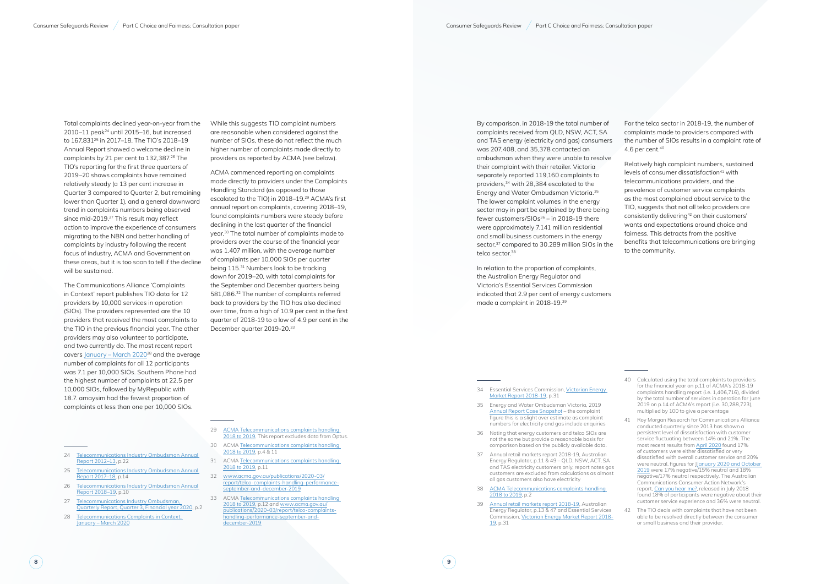Total complaints declined year-on-year from the 2010–11 peak<sup>24</sup> until 2015–16, but increased to 167,831<sup>25</sup> in 2017-18. The TIO's 2018-19 Annual Report showed a welcome decline in complaints by 21 per cent to 132,387.<sup>26</sup> The TIO's reporting for the first three quarters of 2019–20 shows complaints have remained relatively steady (a 13 per cent increase in Quarter 3 compared to Quarter 2, but remaining lower than Quarter 1), and a general downward trend in complaints numbers being observed since mid-2019.<sup>27</sup> This result may reflect action to improve the experience of consumers migrating to the NBN and better handling of complaints by industry following the recent focus of industry, ACMA and Government on these areas, but it is too soon to tell if the decline will be sustained.

- 24 Telecommunications Industry Ombudsman Annual [Report 2012–13,](https://www.tio.com.au/__data/assets/pdf_file/0018/141264/2013-AR.pdf) p.22
- 25 [Telecommunications Industry Ombudsman Annual](https://www.tio.com.au/__data/assets/pdf_file/0006/257325/Telecommunications-Industry-Ombudsman-Annual-Report-2018.pdf)  [Report 2017–18,](https://www.tio.com.au/__data/assets/pdf_file/0006/257325/Telecommunications-Industry-Ombudsman-Annual-Report-2018.pdf) p.14
- 26 [Telecommunications Industry Ombudsman Annual](https://www.tio.com.au/sites/default/files/2019-09/TIO%20Annual%20Report%202018-19.pdf)  [Report 2018–19](https://www.tio.com.au/sites/default/files/2019-09/TIO%20Annual%20Report%202018-19.pdf), p.10
- 27 Telecommunications Industry Ombudsman, [Quarterly Report, Quarter 3, Financial year 2020](https://www.tio.com.au/sites/default/files/2020-05/TIO%202019-20%20Q3%20Report_%28f%29.pdf), p.2
- 28 Telecommunications Complaints in Context, January – March 2020

ACMA commenced reporting on complaints made directly to providers under the Complaints Handling Standard (as opposed to those escalated to the TIO) in 2018-19.<sup>29</sup> ACMA's first annual report on complaints, covering 2018–19, found complaints numbers were steady before declining in the last quarter of the financial year.<sup>30</sup> The total number of complaints made to providers over the course of the financial year was 1.407 million, with the average number of complaints per 10,000 SIOs per quarter being 115.<sup>31</sup> Numbers look to be tracking down for 2019–20, with total complaints for the September and December quarters being 581,086.32 The number of complaints referred back to providers by the TIO has also declined over time, from a high of 10.9 per cent in the first quarter of 2018-19 to a low of 4.9 per cent in the December quarter 2019-20.<sup>33</sup>

The Communications Alliance 'Complaints in Context' report publishes TIO data for 12 providers by 10,000 services in operation (SIOs). The providers represented are the 10 providers that received the most complaints to the TIO in the previous financial year. The other providers may also volunteer to participate, and two currently do. The most recent report covers January – March 2020<sup>28</sup> and the average number of complaints for all 12 participants was 7.1 per 10,000 SIOs. Southern Phone had the highest number of complaints at 22.5 per 10,000 SIOs, followed by MyRepublic with 18.7. amaysim had the fewest proportion of complaints at less than one per 10,000 SIOs.

- 29 ACMA Telecommunications complaints handling 2018 to 2019. This report excludes data from Optus.
- 30 ACMA [Telecommunications complaints handling](https://www.acma.gov.au/publications/2019-10/report/telecommunications-complaints-handling-2018-2019)  [2018 to 2019,](https://www.acma.gov.au/publications/2019-10/report/telecommunications-complaints-handling-2018-2019) p.4 & 11
- 31 ACMA [Telecommunications complaints handling](https://www.acma.gov.au/publications/2019-10/report/telecommunications-complaints-handling-2018-2019)  [2018 to 2019,](https://www.acma.gov.au/publications/2019-10/report/telecommunications-complaints-handling-2018-2019) p.11
- 32 [www.acma.gov.au/publications/2020-03/](http://www.acma.gov.au/publications/2020-03/report/telco-complaints-handling-performance-september-and-december-2019) [report/telco-complaints-handling-performance](http://www.acma.gov.au/publications/2020-03/report/telco-complaints-handling-performance-september-and-december-2019)[september-and-december-2019](http://www.acma.gov.au/publications/2020-03/report/telco-complaints-handling-performance-september-and-december-2019)
- 33 ACMA [Telecommunications complaints handling](https://www.acma.gov.au/publications/2019-10/report/telecommunications-complaints-handling-2018-2019)  [2018 to 2019,](https://www.acma.gov.au/publications/2019-10/report/telecommunications-complaints-handling-2018-2019) p.12 and [www.acma.gov.au/](http://www.acma.gov.au/publications/2020-03/report/telco-complaints-handling-performance-september-and-december-2019) [publications/2020-03/report/telco-complaints](http://www.acma.gov.au/publications/2020-03/report/telco-complaints-handling-performance-september-and-december-2019)[handling-performance-september-and](http://www.acma.gov.au/publications/2020-03/report/telco-complaints-handling-performance-september-and-december-2019)[december-2019](http://www.acma.gov.au/publications/2020-03/report/telco-complaints-handling-performance-september-and-december-2019)

By comparison, in 2018-19 the total number of complaints received from QLD, NSW, ACT, SA and TAS energy (electricity and gas) consumers was 207,408, and 35,378 contacted an ombudsman when they were unable to resolve their complaint with their retailer. Victoria separately reported 119,160 complaints to providers,34 with 28,384 escalated to the Energy and Water Ombudsman Victoria.35 The lower complaint volumes in the energy sector may in part be explained by there being fewer customers/SIOs<sup>36</sup> – in 2018-19 there were approximately 7.141 million residential and small business customers in the energy sector,<sup>37</sup> compared to 30.289 million SIOs in the telco sector.<sup>38</sup>

While this suggests TIO complaint numbers are reasonable when considered against the number of SIOs, these do not reflect the much higher number of complaints made directly to providers as reported by ACMA (see below).

For the telco sector in 2018-19, the number of complaints made to providers compared with the number of SIOs results in a complaint rate of 4.6 per cent. $40$ 

In relation to the proportion of complaints, the Australian Energy Regulator and Victoria's Essential Services Commission indicated that 2.9 per cent of energy customers made a complaint in 2018-19.39

- 34 Essential Services Commission, [Victorian Energy](https://www.esc.vic.gov.au/sites/default/files/documents/VEMR%20annual%20report%202018-19_Final_20191205.pdf)  [Market Report 2018-19](https://www.esc.vic.gov.au/sites/default/files/documents/VEMR%20annual%20report%202018-19_Final_20191205.pdf), p.31
- 35 Energy and Water Ombudsman Victoria, [2019](https://www.ewov.com.au/reports/annual-report/201910)  [Annual Report Case Snapshot](https://www.ewov.com.au/reports/annual-report/201910) – the complaint figure this is a slight over estimate as complaint numbers for electricity and gas include enquiries
- 36 Noting that energy customers and telco SIOs are not the same but provide a reasonable basis for comparison based on the publicly available data.
- 37 [Annual retail markets report 2018-19,](https://www.aer.gov.au/system/files/AER%20Annual%20Retail%20Markets%20Report%202018-19_0.pdf) Australian Energy Regulator, p.11 & 49 – QLD, NSW, ACT, SA and TAS electricity customers only, report notes gas customers are excluded from calculations as almost all gas customers also have electricity
- 38 ACMA [Telecommunications complaints handling](https://www.acma.gov.au/publications/2019-10/report/telecommunications-complaints-handling-2018-2019)  [2018 to 2019](https://www.acma.gov.au/publications/2019-10/report/telecommunications-complaints-handling-2018-2019), p.2
- 39 [Annual retail markets report 2018-19,](https://www.aer.gov.au/system/files/AER%20Annual%20Retail%20Markets%20Report%202018-19_0.pdf) Australian Energy Regulator, p.13 & 47 and Essential Services Commission, [Victorian Energy Market Report 2018-](https://www.esc.vic.gov.au/sites/default/files/documents/VEMR%20annual%20report%202018-19_Final_20191205.pdf) [19,](https://www.esc.vic.gov.au/sites/default/files/documents/VEMR%20annual%20report%202018-19_Final_20191205.pdf) p.31

Relatively high complaint numbers, sustained levels of consumer dissatisfaction<sup>41</sup> with telecommunications providers, and the prevalence of customer service complaints as the most complained about service to the TIO, suggests that not all telco providers are consistently delivering42 on their customers' wants and expectations around choice and fairness. This detracts from the positive benefits that telecommunications are bringing to the community.

<sup>40</sup> Calculated using the total complaints to providers for the financial year on p.11 of ACMA's 2018-19 complaints handling report (i.e. 1,406,716), divided by the total number of services in operation for June 2019 on p.14 of ACMA's report (i.e. 30,288,723), multiplied by 100 to give a percentage

<sup>41</sup> Roy Morgan Research for Communications Alliance conducted quarterly since 2013 has shown a persistent level of dissatisfaction with customer service fluctuating between 14% and 21%. The most recent results from April 2020 found 17% of customers were either dissatisfied or very dissatisfied with overall customer service and 20% were neutral, figures for JJanuary 2020 and October 2019 were 17% negative/15% neutral and 18% negative/17% neutral respectively. The Australian Communications Consumer Action Network's report, [Can you hear me?](https://accan.org.au/our-work/research/1523-can-you-hear-me-ranking-the-customer-service-of-australia-s-phone-and-internet-companies), released in July 2018 found 18% of participants were negative about their customer service experience and 36% were neutral.

<sup>42</sup> The TIO deals with complaints that have not been able to be resolved directly between the consumer or small business and their provider.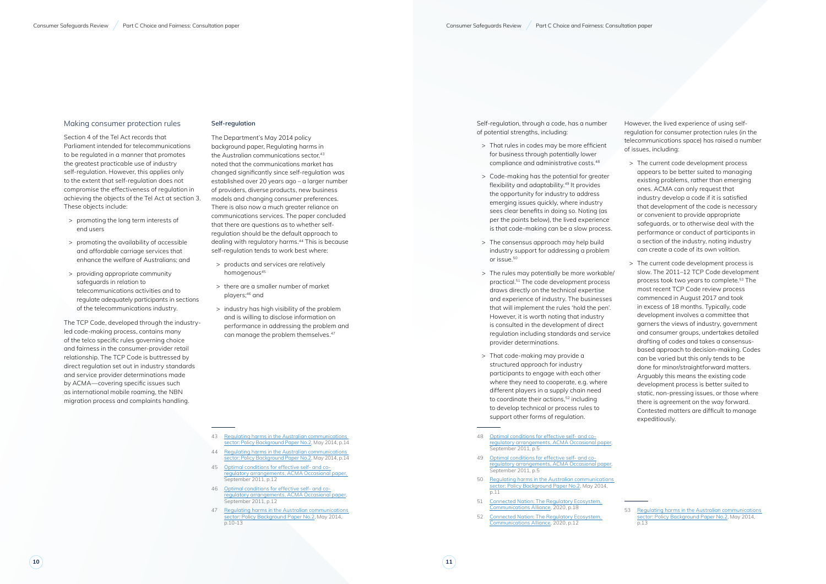#### Making consumer protection rules

Section 4 of the Tel Act records that Parliament intended for telecommunications to be regulated in a manner that promotes the greatest practicable use of industry self-regulation. However, this applies only to the extent that self-regulation does not compromise the effectiveness of regulation in achieving the objects of the Tel Act at section 3. These objects include:

- > promoting the long term interests of end users
- > promoting the availability of accessible and affordable carriage services that enhance the welfare of Australians; and
- > providing appropriate community safeguards in relation to telecommunications activities and to regulate adequately participants in sections of the telecommunications industry.
- > products and services are relatively homogenous<sup>45</sup>
- > there are a smaller number of market players;46 and
- > industry has high visibility of the problem and is willing to disclose information on performance in addressing the problem and can manage the problem themselves.<sup>47</sup>

The TCP Code, developed through the industryled code-making process, contains many of the telco specific rules governing choice and fairness in the consumer-provider retail relationship. The TCP Code is buttressed by direct regulation set out in industry standards and service provider determinations made by ACMA—covering specific issues such as international mobile roaming, the NBN migration process and complaints handling.

#### **Self-regulation**

The Department's May 2014 policy background paper, Regulating harms in the Australian communications sector.<sup>43</sup> noted that the communications market has changed significantly since self-regulation was established over 20 years ago – a larger number of providers, diverse products, new business models and changing consumer preferences. There is also now a much greater reliance on communications services. The paper concluded that there are questions as to whether selfregulation should be the default approach to dealing with regulatory harms.<sup>44</sup> This is because self-regulation tends to work best where:

- 43 [Regulating harms in the Australian communications](https://www.communications.gov.au/publications/regulating-harms-australian-communications-sector-policy-background-paper-no2)  [sector: Policy Background Paper No.2,](https://www.communications.gov.au/publications/regulating-harms-australian-communications-sector-policy-background-paper-no2) May 2014, p.14
- 44 [Regulating harms in the Australian communications](https://www.communications.gov.au/publications/regulating-harms-australian-communications-sector-policy-background-paper-no2)  [sector: Policy Background Paper No.2,](https://www.communications.gov.au/publications/regulating-harms-australian-communications-sector-policy-background-paper-no2) May 2014, p.14
- 45 [Optimal conditions for effective self- and co](https://www.acma.gov.au/sites/default/files/2019-08/Optimal%20conditions%20for%20self-%20and%20co-regulation%20Sep%202011%20pdf.pdf)[regulatory arrangements, ACMA Occasional paper](https://www.acma.gov.au/sites/default/files/2019-08/Optimal%20conditions%20for%20self-%20and%20co-regulation%20Sep%202011%20pdf.pdf), September 2011, p.12
- 46 [Optimal conditions for effective self- and co](https://www.acma.gov.au/sites/default/files/2019-08/Optimal%20conditions%20for%20self-%20and%20co-regulation%20Sep%202011%20pdf.pdf)[regulatory arrangements, ACMA Occasional paper](https://www.acma.gov.au/sites/default/files/2019-08/Optimal%20conditions%20for%20self-%20and%20co-regulation%20Sep%202011%20pdf.pdf), September 2011, p.12
- 47 [Regulating harms in the Australian communications](https://www.communications.gov.au/publications/regulating-harms-australian-communications-sector-policy-background-paper-no2)  [sector: Policy Background Paper No.2](https://www.communications.gov.au/publications/regulating-harms-australian-communications-sector-policy-background-paper-no2), May 2014, p.10-13

Self-regulation, through a code, has a number of potential strengths, including:

- > That rules in codes may be more efficient for business through potentially lower compliance and administrative costs.48
- > Code-making has the potential for greater flexibility and adaptability.49 It provides the opportunity for industry to address emerging issues quickly, where industry sees clear benefits in doing so. Noting (as per the points below), the lived experience is that code-making can be a slow process.
- > The consensus approach may help build industry support for addressing a problem or issue.50
- > The rules may potentially be more workable/ practical.51 The code development process draws directly on the technical expertise and experience of industry. The businesses that will implement the rules 'hold the pen'. However, it is worth noting that industry is consulted in the development of direct regulation including standards and service provider determinations.
- > That code-making may provide a structured approach for industry participants to engage with each other where they need to cooperate, e.g. where different players in a supply chain need to coordinate their actions,<sup>52</sup> including to develop technical or process rules to support other forms of regulation.
- 48 [Optimal conditions for effective self- and co](https://www.acma.gov.au/sites/default/files/2019-08/Optimal%20conditions%20for%20self-%20and%20co-regulation%20Sep%202011%20pdf.pdf)[regulatory arrangements, ACMA Occasional paper](https://www.acma.gov.au/sites/default/files/2019-08/Optimal%20conditions%20for%20self-%20and%20co-regulation%20Sep%202011%20pdf.pdf), September 2011, p.5
- 49 [Optimal conditions for effective self- and co](https://www.acma.gov.au/sites/default/files/2019-08/Optimal%20conditions%20for%20self-%20and%20co-regulation%20Sep%202011%20pdf.pdf)[regulatory arrangements, ACMA Occasional paper](https://www.acma.gov.au/sites/default/files/2019-08/Optimal%20conditions%20for%20self-%20and%20co-regulation%20Sep%202011%20pdf.pdf), September 2011, p.5
- 50 [Regulating harms in the Australian communications](https://www.communications.gov.au/publications/regulating-harms-australian-communications-sector-policy-background-paper-no2)  [sector: Policy Background Paper No.2](https://www.communications.gov.au/publications/regulating-harms-australian-communications-sector-policy-background-paper-no2), May 2014, p.11
- 51 [Connected Nation: The Regulatory Ecosystem,](https://www.commsalliance.com.au/__data/assets/pdf_file/0008/69515/RITM0410497-Communications-Alliance_Digital-2.pdf)  [Communications Alliance, 2020](https://www.commsalliance.com.au/__data/assets/pdf_file/0008/69515/RITM0410497-Communications-Alliance_Digital-2.pdf), p.18
- 52 [Connected Nation: The Regulatory Ecosystem,](https://www.commsalliance.com.au/__data/assets/pdf_file/0008/69515/RITM0410497-Communications-Alliance_Digital-2.pdf)  [Communications Alliance, 2020](https://www.commsalliance.com.au/__data/assets/pdf_file/0008/69515/RITM0410497-Communications-Alliance_Digital-2.pdf), p.12

However, the lived experience of using selfregulation for consumer protection rules (in the telecommunications space) has raised a number of issues, including:

- > The current code development process appears to be better suited to managing existing problems, rather than emerging ones. ACMA can only request that industry develop a code if it is satisfied that development of the code is necessary or convenient to provide appropriate safeguards, or to otherwise deal with the performance or conduct of participants in a section of the industry, noting industry can create a code of its own volition.
- > The current code development process is slow. The 2011–12 TCP Code development process took two years to complete.<sup>53</sup> The most recent TCP Code review process commenced in August 2017 and took in excess of 18 months. Typically, code development involves a committee that garners the views of industry, government and consumer groups, undertakes detailed drafting of codes and takes a consensusbased approach to decision-making. Codes can be varied but this only tends to be done for minor/straightforward matters. Arguably this means the existing code development process is better suited to static, non-pressing issues, or those where there is agreement on the way forward. Contested matters are difficult to manage expeditiously.

<sup>53</sup> [Regulating harms in the Australian communications](https://www.communications.gov.au/publications/regulating-harms-australian-communications-sector-policy-background-paper-no2)  [sector: Policy Background Paper No.2,](https://www.communications.gov.au/publications/regulating-harms-australian-communications-sector-policy-background-paper-no2) May 2014, p.13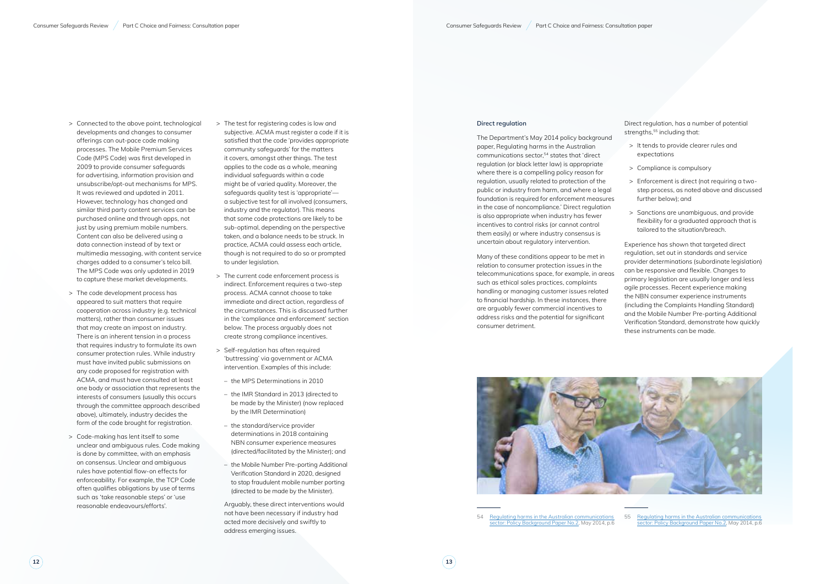- 12 **Connective Connected to the above point in the above point in the above point in the above point in the above point in the above point in the above point in the above point in the above point in the above point in th** developments and changes to consumer offerings can out-pace code making processes. The Mobile Premium Services Code (MPS Code) was first developed in 2009 to provide consumer safeguards for advertising, information provision and unsubscribe/opt-out mechanisms for MPS. It was reviewed and updated in 2011. However, technology has changed and similar third party content services can be purchased online and through apps, not just by using premium mobile numbers. Content can also be delivered using a data connection instead of by text or multimedia messaging, with content service charges added to a consumer's telco bill. The MPS Code was only updated in 2019 to capture these market developments.
	- > The code development process has appeared to suit matters that require cooperation across industry (e.g. technical matters), rather than consumer issues that may create an impost on industry. There is an inherent tension in a process that requires industry to formulate its own consumer protection rules. While industry must have invited public submissions on any code proposed for registration with ACMA, and must have consulted at least one body or association that represents the interests of consumers (usually this occurs through the committee approach described above), ultimately, industry decides the form of the code brought for registration.
	- > Code-making has lent itself to some unclear and ambiguous rules. Code making is done by committee, with an emphasis on consensus. Unclear and ambiguous rules have potential flow-on effects for enforceability. For example, the TCP Code often qualifies obligations by use of terms such as 'take reasonable steps' or 'use reasonable endeavours/efforts'.

Direct regulation, has a number of potential strengths,<sup>55</sup> including that:

- > The test for registering codes is low and subjective. ACMA must register a code if it is satisfied that the code 'provides appropriate community safeguards' for the matters it covers, amongst other things. The test applies to the code as a whole, meaning individual safeguards within a code might be of varied quality. Moreover, the safeguards quality test is 'appropriate' a subjective test for all involved (consumers, industry and the regulator). This means that some code protections are likely to be sub-optimal, depending on the perspective taken, and a balance needs to be struck. In practice, ACMA could assess each article, though is not required to do so or prompted to under legislation.
- > The current code enforcement process is indirect. Enforcement requires a two-step process. ACMA cannot choose to take immediate and direct action, regardless of the circumstances. This is discussed further in the 'compliance and enforcement' section below. The process arguably does not create strong compliance incentives.
- > Self-regulation has often required 'buttressing' via government or ACMA intervention. Examples of this include:
- the MPS Determinations in 2010
- the IMR Standard in 2013 (directed to be made by the Minister) (now replaced by the IMR Determination)
- the standard/service provider determinations in 2018 containing NBN consumer experience measures (directed/facilitated by the Minister); and
- the Mobile Number Pre-porting Additional Verification Standard in 2020, designed to stop fraudulent mobile number porting (directed to be made by the Minister).

Arguably, these direct interventions would not have been necessary if industry had acted more decisively and swiftly to address emerging issues.

#### **Direct regulation**

The Department's May 2014 policy background paper, Regulating harms in the Australian communications sector,54 states that 'direct regulation (or black letter law) is appropriate where there is a compelling policy reason for regulation, usually related to protection of the public or industry from harm, and where a legal foundation is required for enforcement measures in the case of noncompliance.' Direct regulation is also appropriate when industry has fewer incentives to control risks (or cannot control them easily) or where industry consensus is uncertain about regulatory intervention.

Many of these conditions appear to be met in relation to consumer protection issues in the telecommunications space, for example, in areas such as ethical sales practices, complaints handling or managing customer issues related to financial hardship. In these instances, there are arguably fewer commercial incentives to address risks and the potential for significant consumer detriment.



54 [Regulating harms in the Australian communications](https://www.communications.gov.au/publications/regulating-harms-australian-communications-sector-policy-background-paper-no2)  [sector: Policy Background Paper No.2,](https://www.communications.gov.au/publications/regulating-harms-australian-communications-sector-policy-background-paper-no2) May 2014, p.6

- > It tends to provide clearer rules and expectations
- > Compliance is compulsory
- > Enforcement is direct (not requiring a twostep process, as noted above and discussed further below); and
- > Sanctions are unambiguous, and provide flexibility for a graduated approach that is tailored to the situation/breach.

Experience has shown that targeted direct regulation, set out in standards and service provider determinations (subordinate legislation) can be responsive and flexible. Changes to primary legislation are usually longer and less agile processes. Recent experience making the NBN consumer experience instruments (including the Complaints Handling Standard) and the Mobile Number Pre-porting Additional Verification Standard, demonstrate how quickly these instruments can be made.

55 [Regulating harms in the Australian communications](https://www.communications.gov.au/publications/regulating-harms-australian-communications-sector-policy-background-paper-no2)  [sector: Policy Background Paper No.2,](https://www.communications.gov.au/publications/regulating-harms-australian-communications-sector-policy-background-paper-no2) May 2014, p.6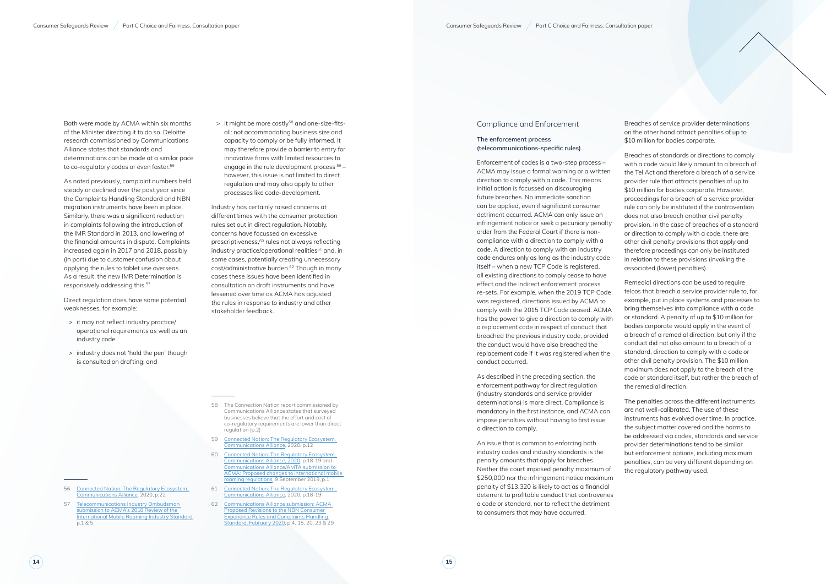Both were made by ACMA within six months of the Minister directing it to do so. Deloitte research commissioned by Communications Alliance states that standards and determinations can be made at a similar pace to co-regulatory codes or even faster.<sup>56</sup>

As noted previously, complaint numbers held steady or declined over the past year since the Complaints Handling Standard and NBN migration instruments have been in place. Similarly, there was a significant reduction in complaints following the introduction of the IMR Standard in 2013, and lowering of the financial amounts in dispute. Complaints increased again in 2017 and 2018, possibly (in part) due to customer confusion about applying the rules to tablet use overseas. As a result, the new IMR Determination is responsively addressing this.<sup>57</sup>

> It might be more costly<sup>58</sup> and one-size-fitsall: not accommodating business size and capacity to comply or be fully informed. It may therefore provide a barrier to entry for innovative firms with limited resources to engage in the rule development process  $59$ however, this issue is not limited to direct regulation and may also apply to other processes like code-development.

Direct regulation does have some potential weaknesses, for example:

- > it may not reflect industry practice/ operational requirements as well as an industry code.
- > industry does not 'hold the pen' though is consulted on drafting; and

- 56 [Connected Nation: The Regulatory Ecosystem,](https://www.commsalliance.com.au/__data/assets/pdf_file/0008/69515/RITM0410497-Communications-Alliance_Digital-2.pdf)  [Communications Alliance, 2020](https://www.commsalliance.com.au/__data/assets/pdf_file/0008/69515/RITM0410497-Communications-Alliance_Digital-2.pdf), p.22
- 57 [Telecommunications Industry Ombudsman](https://www.acma.gov.au/consultations/2019-08/review-international-roaming-standard-consultation-302018)  [submission to ACMA's 2018 Review of the](https://www.acma.gov.au/consultations/2019-08/review-international-roaming-standard-consultation-302018)  [International Mobile Roaming Industry Standard,](https://www.acma.gov.au/consultations/2019-08/review-international-roaming-standard-consultation-302018) p.1 & 5

Industry has certainly raised concerns at different times with the consumer protection rules set out in direct regulation. Notably, concerns have focussed on excessive prescriptiveness,<sup>60</sup> rules not always reflecting industry practice/operational realities<sup>61</sup> and, in some cases, potentially creating unnecessary cost/administrative burden.<sup>62</sup> Though in many cases these issues have been identified in consultation on draft instruments and have lessened over time as ACMA has adjusted the rules in response to industry and other stakeholder feedback.

Breaches of service provider determinations on the other hand attract penalties of up to \$10 million for bodies corporate.

- 58 The Connection Nation report commissioned by Communications Alliance states that surveyed businesses believe that the effort and cost of co-regulatory requirements are lower than direct regulation (p.2)
- 59 [Connected Nation: The Regulatory Ecosystem,](https://www.commsalliance.com.au/__data/assets/pdf_file/0008/69515/RITM0410497-Communications-Alliance_Digital-2.pdf)  [Communications Alliance, 2020,](https://www.commsalliance.com.au/__data/assets/pdf_file/0008/69515/RITM0410497-Communications-Alliance_Digital-2.pdf) p.12
- 60 [Connected Nation: The Regulatory Ecosystem,](https://www.commsalliance.com.au/__data/assets/pdf_file/0008/69515/RITM0410497-Communications-Alliance_Digital-2.pdf)  [Communications Alliance, 2020,](https://www.commsalliance.com.au/__data/assets/pdf_file/0008/69515/RITM0410497-Communications-Alliance_Digital-2.pdf) p.18-19 and [Communications Alliance/AMTA submission to](https://www.commsalliance.com.au/__data/assets/pdf_file/0010/66349/amtaca_submission_imr_regulation.pdf)  [ACMA: Proposed changes to international mobile](https://www.commsalliance.com.au/__data/assets/pdf_file/0010/66349/amtaca_submission_imr_regulation.pdf)  [roaming regulations,](https://www.commsalliance.com.au/__data/assets/pdf_file/0010/66349/amtaca_submission_imr_regulation.pdf) 9 September 2019, p.1
- 61 [Connected Nation: The Regulatory Ecosystem,](https://www.commsalliance.com.au/__data/assets/pdf_file/0008/69515/RITM0410497-Communications-Alliance_Digital-2.pdf)  [Communications Alliance, 2020,](https://www.commsalliance.com.au/__data/assets/pdf_file/0008/69515/RITM0410497-Communications-Alliance_Digital-2.pdf) p.18-19
- 62 [Communications Alliance submission: ACMA](https://www.commsalliance.com.au/__data/assets/pdf_file/0006/68802/Communications-Alliance-submission-to-the-ACMA-proposed-revisions-to-the-NBN-Consumer-Experience-Rules-and-Complaints-Handling-Standard-Feb-2020.pdf)  [Proposed Revisions to the NBN Consumer](https://www.commsalliance.com.au/__data/assets/pdf_file/0006/68802/Communications-Alliance-submission-to-the-ACMA-proposed-revisions-to-the-NBN-Consumer-Experience-Rules-and-Complaints-Handling-Standard-Feb-2020.pdf)  [Experience Rules and Complaints Handling](https://www.commsalliance.com.au/__data/assets/pdf_file/0006/68802/Communications-Alliance-submission-to-the-ACMA-proposed-revisions-to-the-NBN-Consumer-Experience-Rules-and-Complaints-Handling-Standard-Feb-2020.pdf)  [Standard, February 2020,](https://www.commsalliance.com.au/__data/assets/pdf_file/0006/68802/Communications-Alliance-submission-to-the-ACMA-proposed-revisions-to-the-NBN-Consumer-Experience-Rules-and-Complaints-Handling-Standard-Feb-2020.pdf) p.4, 15, 20, 23 & 29

#### Compliance and Enforcement

#### **The enforcement process (telecommunications-specific rules)**

Enforcement of codes is a two-step process – ACMA may issue a formal warning or a written direction to comply with a code. This means initial action is focussed on discouraging future breaches. No immediate sanction can be applied, even if significant consumer detriment occurred. ACMA can only issue an infringement notice or seek a pecuniary penalty order from the Federal Court if there is noncompliance with a direction to comply with a code. A direction to comply with an industry code endures only as long as the industry code itself – when a new TCP Code is registered, all existing directions to comply cease to have effect and the indirect enforcement process re-sets. For example, when the 2019 TCP Code was registered, directions issued by ACMA to comply with the 2015 TCP Code ceased. ACMA has the power to give a direction to comply with a replacement code in respect of conduct that breached the previous industry code, provided the conduct would have also breached the replacement code if it was registered when the conduct occurred.

As described in the preceding section, the enforcement pathway for direct regulation (industry standards and service provider determinations) is more direct. Compliance is mandatory in the first instance, and ACMA can impose penalties without having to first issue a direction to comply.

An issue that is common to enforcing both industry codes and industry standards is the penalty amounts that apply for breaches. Neither the court imposed penalty maximum of \$250,000 nor the infringement notice maximum penalty of \$13,320 is likely to act as a financial deterrent to profitable conduct that contravenes a code or standard, nor to reflect the detriment to consumers that may have occurred.

Breaches of standards or directions to comply with a code would likely amount to a breach of the Tel Act and therefore a breach of a service provider rule that attracts penalties of up to \$10 million for bodies corporate. However, proceedings for a breach of a service provider rule can only be instituted if the contravention does not also breach another civil penalty provision. In the case of breaches of a standard or direction to comply with a code, there are other civil penalty provisions that apply and therefore proceedings can only be instituted in relation to these provisions (invoking the associated (lower) penalties).

Remedial directions can be used to require telcos that breach a service provider rule to, for example, put in place systems and processes to bring themselves into compliance with a code or standard. A penalty of up to \$10 million for bodies corporate would apply in the event of a breach of a remedial direction, but only if the conduct did not also amount to a breach of a standard, direction to comply with a code or other civil penalty provision. The \$10 million maximum does not apply to the breach of the code or standard itself, but rather the breach of the remedial direction.

The penalties across the different instruments are not well-calibrated. The use of these instruments has evolved over time. In practice, the subject matter covered and the harms to be addressed via codes, standards and service provider determinations tend to be similar but enforcement options, including maximum penalties, can be very different depending on the regulatory pathway used.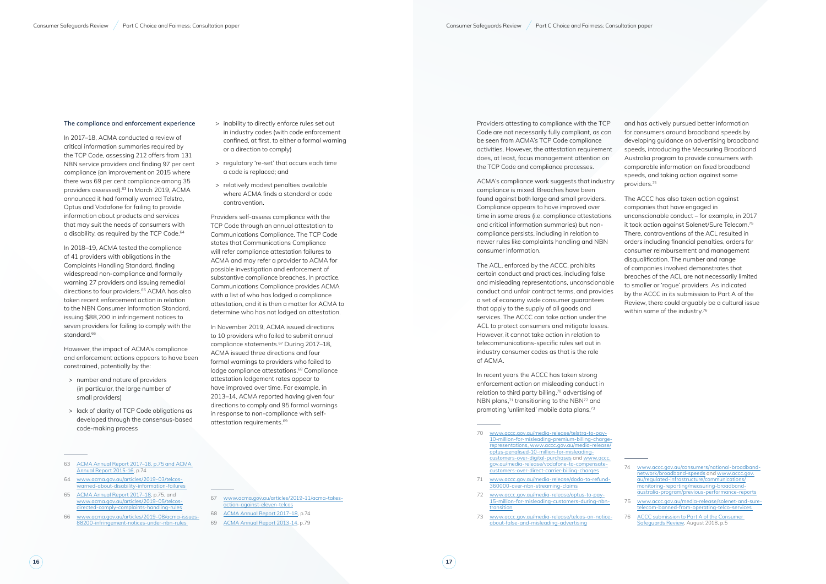In 2017–18, ACMA conducted a review of critical information summaries required by the TCP Code, assessing 212 offers from 131 NBN service providers and finding 97 per cent compliance (an improvement on 2015 where there was 69 per cent compliance among 35 providers assessed).<sup>63</sup> In March 2019, ACMA announced it had formally warned Telstra, Optus and Vodafone for failing to provide information about products and services that may suit the needs of consumers with a disability, as required by the TCP Code.<sup>64</sup>

#### **The compliance and enforcement experience**

In 2018–19, ACMA tested the compliance of 41 providers with obligations in the Complaints Handling Standard, finding widespread non-compliance and formally warning 27 providers and issuing remedial directions to four providers.<sup>65</sup> ACMA has also taken recent enforcement action in relation to the NBN Consumer Information Standard, issuing \$88,200 in infringement notices to seven providers for failing to comply with the standard.<sup>66</sup>

However, the impact of ACMA's compliance and enforcement actions appears to have been constrained, potentially by the:

- > number and nature of providers (in particular, the large number of small providers)
- > lack of clarity of TCP Code obligations as developed through the consensus-based code-making process
- 63 [ACMA Annual Report 2017–18,](https://www.acma.gov.au/publications/2018-10/report/ACMA-annual-report-2017-18) p.75 and [ACMA](https://www.acma.gov.au/publications/2016-10/report/ACMA-annual-report-2015-16)  [Annual Report 2015-16,](https://www.acma.gov.au/publications/2016-10/report/ACMA-annual-report-2015-16) p.74
- 64 [www.acma.gov.au/articles/2019-03/telcos](http://www.acma.gov.au/articles/2019-03/telcos-warned-about-disability-information-failures)[warned-about-disability-information-failures](http://www.acma.gov.au/articles/2019-03/telcos-warned-about-disability-information-failures)
- 65 [ACMA Annual Report 2017–18,](https://www.acma.gov.au/publications/2018-10/report/ACMA-annual-report-2017-18) p.75, and [www.acma.gov.au/articles/2019-05/telcos](http://www.acma.gov.au/articles/2019-05/telcos-directed-comply-complaints-handling-rules)[directed-comply-complaints-handling-rules](http://www.acma.gov.au/articles/2019-05/telcos-directed-comply-complaints-handling-rules)
- 66 [www.acma.gov.au/articles/2019-08/acma-issues-](http://www.acma.gov.au/articles/2019-08/acma-issues-88200-infringement-notices-under-nbn-rules)[88200-infringement-notices-under-nbn-rules](http://www.acma.gov.au/articles/2019-08/acma-issues-88200-infringement-notices-under-nbn-rules)
- > inability to directly enforce rules set out in industry codes (with code enforcement confined, at first, to either a formal warning or a direction to comply)
- > regulatory 're-set' that occurs each time a code is replaced; and
- > relatively modest penalties available where ACMA finds a standard or code contravention.

Providers self-assess compliance with the TCP Code through an annual attestation to Communications Compliance. The TCP Code states that Communications Compliance will refer compliance attestation failures to ACMA and may refer a provider to ACMA for possible investigation and enforcement of substantive compliance breaches. In practice, Communications Compliance provides ACMA with a list of who has lodged a compliance attestation, and it is then a matter for ACMA to determine who has not lodged an attestation.

The ACCC has also taken action against companies that have engaged in unconscionable conduct – for example, in 2017 it took action against Solenet/Sure Telecom.75 There, contraventions of the ACL resulted in orders including financial penalties, orders for consumer reimbursement and management disqualification. The number and range of companies involved demonstrates that breaches of the ACL are not necessarily limited to smaller or 'rogue' providers. As indicated by the ACCC in its submission to Part A of the Review, there could arguably be a cultural issue within some of the industry.<sup>76</sup>

In November 2019, ACMA issued directions to 10 providers who failed to submit annual compliance statements.<sup>67</sup> During 2017-18, ACMA issued three directions and four formal warnings to providers who failed to lodge compliance attestations.<sup>68</sup> Compliance attestation lodgement rates appear to have improved over time. For example, in 2013–14, ACMA reported having given four directions to comply and 95 formal warnings in response to non-compliance with selfattestation requirements.69

- 67 [www.acma.gov.au/articles/2019-11/acma-takes](http://www.acma.gov.au/articles/2019-11/acma-takes-action-against-eleven-telcos)action-against-eleven-telco
- 68 [ACMA Annual Report 2017–18](https://www.acma.gov.au/publications/2018-10/report/ACMA-annual-report-2017-18), p.74
- 69 [ACMA Annual Report 2013-14,](https://www.acma.gov.au/publications/2014-09/report/ACMA-annual-report-2013-14) p.79

#### Providers attesting to compliance with the TCP Code are not necessarily fully compliant, as can be seen from ACMA's TCP Code compliance activities. However, the attestation requirement does, at least, focus management attention on the TCP Code and compliance processes.

ACMA's compliance work suggests that industry compliance is mixed. Breaches have been found against both large and small providers. Compliance appears to have improved over time in some areas (i.e. compliance attestations and critical information summaries) but noncompliance persists, including in relation to newer rules like complaints handling and NBN consumer information.

The ACL, enforced by the ACCC, prohibits certain conduct and practices, including false and misleading representations, unconscionable conduct and unfair contract terms, and provides a set of economy wide consumer guarantees that apply to the supply of all goods and services. The ACCC can take action under the ACL to protect consumers and mitigate losses. However, it cannot take action in relation to telecommunications-specific rules set out in industry consumer codes as that is the role of ACMA.

In recent years the ACCC has taken strong enforcement action on misleading conduct in relation to third party billing,70 advertising of NBN plans,<sup>71</sup> transitioning to the NBN<sup>72</sup> and promoting 'unlimited' mobile data plans,73

- 71 [www.accc.gov.au/media-release/dodo-to-refund-](http://www.accc.gov.au/media-release/dodo-to-refund-360000-over-nbn-streaming-claims)[360000-over-nbn-streaming-claims](http://www.accc.gov.au/media-release/dodo-to-refund-360000-over-nbn-streaming-claims)
- 72 [www.accc.gov.au/media-release/optus-to-pay-](http://www.accc.gov.au/media-release/optus-to-pay-15-million-for-misleading-customers-during-nbn-transition)[15-million-for-misleading-customers-during-nbn](http://www.accc.gov.au/media-release/optus-to-pay-15-million-for-misleading-customers-during-nbn-transition)[transition](http://www.accc.gov.au/media-release/optus-to-pay-15-million-for-misleading-customers-during-nbn-transition)
- 73 [www.accc.gov.au/media-release/telcos-on-notice](http://www.accc.gov.au/media-release/telcos-on-notice-about-false-and-misleading-advertising)[about-false-and-misleading-advertising](http://www.accc.gov.au/media-release/telcos-on-notice-about-false-and-misleading-advertising)

and has actively pursued better information for consumers around broadband speeds by developing guidance on advertising broadband speeds, introducing the Measuring Broadband Australia program to provide consumers with comparable information on fixed broadband speeds, and taking action against some providers.74

<sup>70</sup> [www.accc.gov.au/media-release/telstra-to-pay-](http://www.accc.gov.au/media-release/telstra-to-pay-10-million-for-misleading-premium-billing-charge-representations)[10-million-for-misleading-premium-billing-charge](http://www.accc.gov.au/media-release/telstra-to-pay-10-million-for-misleading-premium-billing-charge-representations)[representations](http://www.accc.gov.au/media-release/telstra-to-pay-10-million-for-misleading-premium-billing-charge-representations), [www.accc.gov.au/media-release/](http://www.accc.gov.au/media-release/optus-penalised-10-million-for-misleading-customers-over-digital-purchases) [optus-penalised-10-million-for-misleading](http://www.accc.gov.au/media-release/optus-penalised-10-million-for-misleading-customers-over-digital-purchases)[customers-over-digital-purchases](http://www.accc.gov.au/media-release/optus-penalised-10-million-for-misleading-customers-over-digital-purchases) and [www.accc.](http://www.accc.gov.au/media-release/vodafone-to-compensate-customers-over-direct-carrier-billing-charges) [gov.au/media-release/vodafone-to-compensate](http://www.accc.gov.au/media-release/vodafone-to-compensate-customers-over-direct-carrier-billing-charges)[customers-over-direct-carrier-billing-charges](http://www.accc.gov.au/media-release/vodafone-to-compensate-customers-over-direct-carrier-billing-charges)

<sup>74</sup> [www.accc.gov.au/consumers/national-broadband](http://www.accc.gov.au/consumers/national-broadband-network/broadband-speeds)[network/broadband-speeds](http://www.accc.gov.au/consumers/national-broadband-network/broadband-speeds) and [www.accc.gov.](http://www.accc.gov.au/regulated-infrastructure/communications/monitoring-reporting/measuring-broadband-australia-program/previous-performance-reports) [au/regulated-infrastructure/communications/](http://www.accc.gov.au/regulated-infrastructure/communications/monitoring-reporting/measuring-broadband-australia-program/previous-performance-reports) [monitoring-reporting/measuring-broadband](http://www.accc.gov.au/regulated-infrastructure/communications/monitoring-reporting/measuring-broadband-australia-program/previous-performance-reports)[australia-program/previous-performance-reports](http://www.accc.gov.au/regulated-infrastructure/communications/monitoring-reporting/measuring-broadband-australia-program/previous-performance-reports)

<sup>75</sup> [www.accc.gov.au/media-release/solenet-and-sure](http://www.accc.gov.au/media-release/solenet-and-sure-telecom-banned-from-operating-telco-services)[telecom-banned-from-operating-telco-services](http://www.accc.gov.au/media-release/solenet-and-sure-telecom-banned-from-operating-telco-services)

<sup>76</sup> ACCC submission to Part A of the Consumer [Safeguards Review](https://www.communications.gov.au/sites/default/files/submissions/australian_competition_and_consumer_commission_1.pdf), August 2018, p.5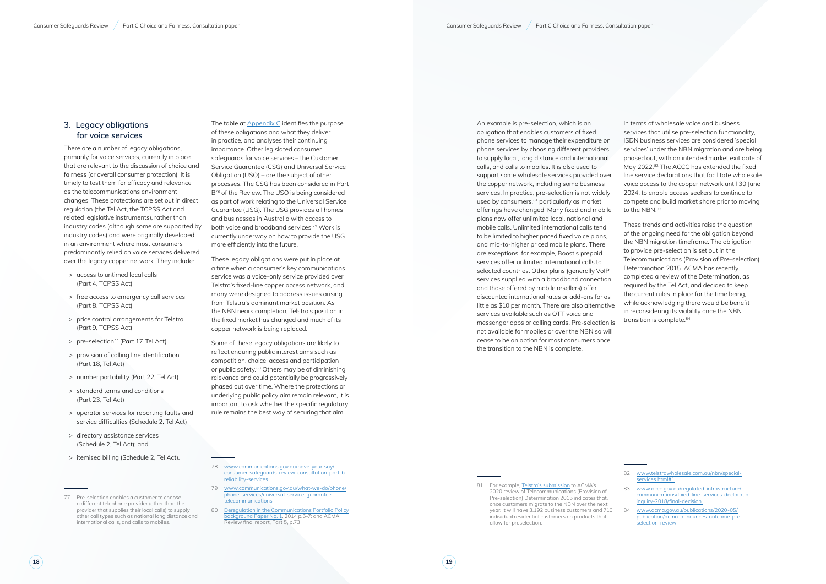### **3. Legacy obligations for voice services**

There are a number of legacy obligations, primarily for voice services, currently in place that are relevant to the discussion of choice and fairness (or overall consumer protection). It is timely to test them for efficacy and relevance as the telecommunications environment changes. These protections are set out in direct regulation (the Tel Act, the TCPSS Act and related legislative instruments), rather than industry codes (although some are supported by industry codes) and were originally developed in an environment where most consumers predominantly relied on voice services delivered over the legacy copper network. They include:

- > access to untimed local calls (Part 4, TCPSS Act)
- > free access to emergency call services (Part 8, TCPSS Act)
- > price control arrangements for Telstra (Part 9, TCPSS Act)
- > pre-selection<sup>77</sup> (Part 17, Tel Act)
- > provision of calling line identification (Part 18, Tel Act)
- > number portability (Part 22, Tel Act)
- > standard terms and conditions (Part 23, Tel Act)
- > operator services for reporting faults and service difficulties (Schedule 2, Tel Act)
- > directory assistance services (Schedule 2, Tel Act); and
- > itemised billing (Schedule 2, Tel Act).

The table at **Appendix C** identifies the purpose of these obligations and what they deliver in practice, and analyses their continuing importance. Other legislated consumer safeguards for voice services – the Customer Service Guarantee (CSG) and Universal Service Obligation (USO) – are the subject of other processes. The CSG has been considered in Part B78 of the Review. The USO is being considered as part of work relating to the Universal Service Guarantee (USG). The USG provides all homes and businesses in Australia with access to both voice and broadband services.<sup>79</sup> Work is currently underway on how to provide the USG more efficiently into the future.

These legacy obligations were put in place at a time when a consumer's key communications service was a voice-only service provided over Telstra's fixed-line copper access network, and many were designed to address issues arising from Telstra's dominant market position. As the NBN nears completion, Telstra's position in the fixed market has changed and much of its copper network is being replaced.

In terms of wholesale voice and business services that utilise pre-selection functionality, ISDN business services are considered 'special services' under the NBN migration and are being phased out, with an intended market exit date of May 2022.<sup>82</sup> The ACCC has extended the fixed line service declarations that facilitate wholesale voice access to the copper network until 30 June 2024, to enable access seekers to continue to compete and build market share prior to moving to the NBN.<sup>83</sup>

These trends and activities raise the question of the ongoing need for the obligation beyond the NBN migration timeframe. The obligation to provide pre-selection is set out in the Telecommunications (Provision of Pre-selection) Determination 2015. ACMA has recently completed a review of the Determination, as required by the Tel Act, and decided to keep the current rules in place for the time being, while acknowledging there would be benefit in reconsidering its viability once the NBN transition is complete.<sup>84</sup>

Some of these legacy obligations are likely to reflect enduring public interest aims such as competition, choice, access and participation or public safety.<sup>80</sup> Others may be of diminishing relevance and could potentially be progressively phased out over time. Where the protections or underlying public policy aim remain relevant, it is important to ask whether the specific regulatory rule remains the best way of securing that aim.

- 79 [www.communications.gov.au/what-we-do/phone/](http://www.communications.gov.au/what-we-do/phone/phone-services/universal-service-guarantee-telecommunications) [phone-services/universal-service-guarantee](http://www.communications.gov.au/what-we-do/phone/phone-services/universal-service-guarantee-telecommunications)[telecommunications](http://www.communications.gov.au/what-we-do/phone/phone-services/universal-service-guarantee-telecommunications)
- 80 [Deregulation in the Communications Portfolio Policy](https://www.communications.gov.au/publications/deregulation-communications-portfolio-policy-background-paper-no1)  [background Paper No. 1,](https://www.communications.gov.au/publications/deregulation-communications-portfolio-policy-background-paper-no1) 2014 p.6-7; and ACMA Review final report, Part 5, p.73

An example is pre-selection, which is an obligation that enables customers of fixed phone services to manage their expenditure on phone services by choosing different providers to supply local, long distance and international calls, and calls to mobiles. It is also used to support some wholesale services provided over the copper network, including some business services. In practice, pre-selection is not widely used by consumers, $81$  particularly as market offerings have changed. Many fixed and mobile plans now offer unlimited local, national and mobile calls. Unlimited international calls tend to be limited to higher priced fixed voice plans, and mid-to-higher priced mobile plans. There are exceptions, for example, Boost's prepaid services offer unlimited international calls to selected countries. Other plans (generally VoIP services supplied with a broadband connection and those offered by mobile resellers) offer discounted international rates or add-ons for as little as \$10 per month. There are also alternative services available such as OTT voice and messenger apps or calling cards. Pre-selection is not available for mobiles or over the NBN so will cease to be an option for most consumers once the transition to the NBN is complete.

<sup>77</sup> Pre-selection enables a customer to choose a different telephone provider (other than the provider that supplies their local calls) to supply other call types such as national long distance and international calls, and calls to mobiles.

[www.communications.gov.au/have-your-say/](http://www.communications.gov.au/have-your-say/consumer-safeguards-review-consultation-part-b-reliability-services) [consumer-safeguards-review-consultation-part-b](http://www.communications.gov.au/have-your-say/consumer-safeguards-review-consultation-part-b-reliability-services)[reliability-services](http://www.communications.gov.au/have-your-say/consumer-safeguards-review-consultation-part-b-reliability-services)

<sup>81</sup> For example, [Telstra's submission](https://www.acma.gov.au/publications/2020-05/publication/acma-announces-outcome-pre-selection-review) to ACMA's 2020 review of Telecommunications (Provision of Pre-selection) Determination 2015 indicates that, once customers migrate to the NBN over the next year, it will have 3,192 business customers and 710 individual residential customers on products that allow for preselection.

<sup>82</sup> www.telstrawholesale.com.au/nbn/specialservices.html#1

<sup>83</sup> [www.accc.gov.au/regulated-infrastructure/](http://www.accc.gov.au/regulated-infrastructure/communications/fixed-line-services-declaration-inquiry-2018/final-decision) [communications/fixed-line-services-declaration](http://www.accc.gov.au/regulated-infrastructure/communications/fixed-line-services-declaration-inquiry-2018/final-decision)[inquiry-2018/final-decision](http://www.accc.gov.au/regulated-infrastructure/communications/fixed-line-services-declaration-inquiry-2018/final-decision)

<sup>84</sup> [www.acma.gov.au/publications/2020-05/](http://www.acma.gov.au/publications/2020-05/publication/acma-announces-outcome-pre-selection-review) [publication/acma-announces-outcome-pre](http://www.acma.gov.au/publications/2020-05/publication/acma-announces-outcome-pre-selection-review)[selection-review](http://www.acma.gov.au/publications/2020-05/publication/acma-announces-outcome-pre-selection-review)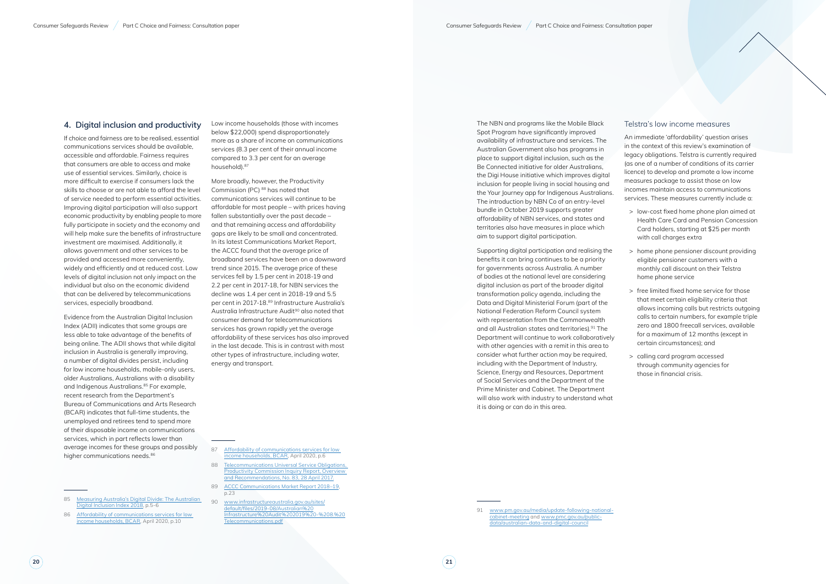#### **4. Digital inclusion and productivity**

Evidence from the Australian Digital Inclusion Index (ADII) indicates that some groups are less able to take advantage of the benefits of being online. The ADII shows that while digital inclusion in Australia is generally improving, a number of digital divides persist, including for low income households, mobile-only users, older Australians, Australians with a disability and Indigenous Australians.<sup>85</sup> For example, recent research from the Department's Bureau of Communications and Arts Research (BCAR) indicates that full-time students, the unemployed and retirees tend to spend more of their disposable income on communications services, which in part reflects lower than average incomes for these groups and possibly higher communications needs.<sup>86</sup>

If choice and fairness are to be realised, essential communications services should be available, accessible and affordable. Fairness requires that consumers are able to access and make use of essential services. Similarly, choice is more difficult to exercise if consumers lack the skills to choose or are not able to afford the level of service needed to perform essential activities. Improving digital participation will also support economic productivity by enabling people to more fully participate in society and the economy and will help make sure the benefits of infrastructure investment are maximised. Additionally, it allows government and other services to be provided and accessed more conveniently, widely and efficiently and at reduced cost. Low levels of digital inclusion not only impact on the individual but also on the economic dividend that can be delivered by telecommunications services, especially broadband.

86 Affordability of communications services for low [income households](https://www.communications.gov.au/publications/affordability-communications-services-low-income-households), BCAR, April 2020, p.10

85 [Measuring Australia's Digital Divide: The Australian](https://digitalinclusionindex.org.au/wp-content/uploads/2018/08/Australian-digital-inclusion-index-2018.pdf)  [Digital Inclusion Index 2018](https://digitalinclusionindex.org.au/wp-content/uploads/2018/08/Australian-digital-inclusion-index-2018.pdf), p.5-6

Low income households (those with incomes below \$22,000) spend disproportionately more as a share of income on communications services (8.3 per cent of their annual income compared to 3.3 per cent for an average household).87

More broadly, however, the Productivity Commission (PC) 88 has noted that communications services will continue to be affordable for most people – with prices having fallen substantially over the past decade – and that remaining access and affordability gaps are likely to be small and concentrated. In its latest Communications Market Report, the ACCC found that the average price of broadband services have been on a downward trend since 2015. The average price of these services fell by 1.5 per cent in 2018-19 and 2.2 per cent in 2017-18, for NBN services the decline was 1.4 per cent in 2018-19 and 5.5 per cent in 2017-18.89 Infrastructure Australia's Australia Infrastructure Audit<sup>90</sup> also noted that consumer demand for telecommunications services has grown rapidly yet the average affordability of these services has also improved in the last decade. This is in contrast with most other types of infrastructure, including water, energy and transport.

87 [Affordability of communications services for low](https://www.communications.gov.au/publications/affordability-communications-services-low-income-households)  [income households,](https://www.communications.gov.au/publications/affordability-communications-services-low-income-households) BCAR, April 2020, p.6

- 88 [Telecommunications Universal Service Obligations,](https://www.pc.gov.au/inquiries/completed/telecommunications/report)  [Productivity Commission Inquiry Report, Overview](https://www.pc.gov.au/inquiries/completed/telecommunications/report)  and Recommendations, No. 83, 28 April 2017
- 89 [ACCC Communications Market Report 2018–19](https://www.accc.gov.au/system/files/Communications%20Market%20Report%202018-19%20-%20December%202019_D07.pdf), p.23
- 90 [www.infrastructureaustralia.gov.au/sites/](http://www.infrastructureaustralia.gov.au/sites/default/files/2019-08/Australian%20Infrastructure%20Audit%202019%20-%208.%20Telecommunications.pdf) [default/files/2019-08/Australian%20](http://www.infrastructureaustralia.gov.au/sites/default/files/2019-08/Australian%20Infrastructure%20Audit%202019%20-%208.%20Telecommunications.pdf) [Infrastructure%20Audit%202019%20-%208.%20](http://www.infrastructureaustralia.gov.au/sites/default/files/2019-08/Australian%20Infrastructure%20Audit%202019%20-%208.%20Telecommunications.pdf) [Telecommunications.pdf](http://www.infrastructureaustralia.gov.au/sites/default/files/2019-08/Australian%20Infrastructure%20Audit%202019%20-%208.%20Telecommunications.pdf)

The NBN and programs like the Mobile Black Spot Program have significantly improved availability of infrastructure and services. The Australian Government also has programs in place to support digital inclusion, such as the Be Connected initiative for older Australians, the Digi House initiative which improves digital inclusion for people living in social housing and the Your Journey app for Indigenous Australians. The introduction by NBN Co of an entry-level bundle in October 2019 supports greater affordability of NBN services, and states and territories also have measures in place which aim to support digital participation.

Supporting digital participation and realising the benefits it can bring continues to be a priority for governments across Australia. A number of bodies at the national level are considering digital inclusion as part of the broader digital transformation policy agenda, including the Data and Digital Ministerial Forum (part of the National Federation Reform Council system with representation from the Commonwealth and all Australian states and territories).<sup>91</sup> The Department will continue to work collaboratively with other agencies with a remit in this area to consider what further action may be required, including with the Department of Industry, Science, Energy and Resources, Department of Social Services and the Department of the Prime Minister and Cabinet. The Department will also work with industry to understand what it is doing or can do in this area.

#### Telstra's low income measures

An immediate 'affordability' question arises in the context of this review's examination of legacy obligations. Telstra is currently required (as one of a number of conditions of its carrier licence) to develop and promote a low income measures package to assist those on low incomes maintain access to communications services. These measures currently include a:

- > low-cost fixed home phone plan aimed at Health Care Card and Pension Concession Card holders, starting at \$25 per month with call charges extra
- > home phone pensioner discount providing eligible pensioner customers with a monthly call discount on their Telstra home phone service
- > free limited fixed home service for those that meet certain eligibility criteria that allows incoming calls but restricts outgoing calls to certain numbers, for example triple zero and 1800 freecall services, available for a maximum of 12 months (except in certain circumstances); and
- > calling card program accessed through community agencies for those in financial crisis.

<sup>91</sup> www.pm.gov.au/media/update-following-nationalcabinet-meeting and www.pmc.gov.au/publicdata/australian-data-and-digital-council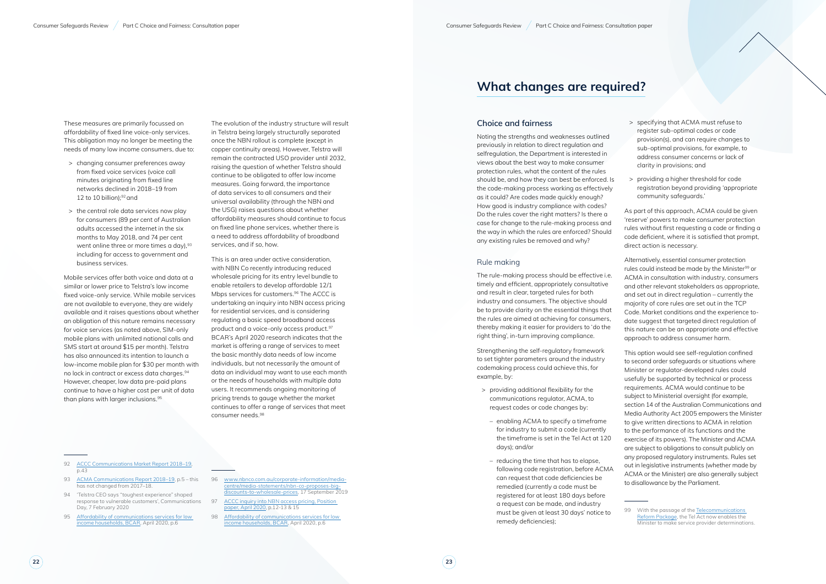These measures are primarily focussed on affordability of fixed line voice-only services. This obligation may no longer be meeting the needs of many low income consumers, due to:

- > changing consumer preferences away from fixed voice services (voice call minutes originating from fixed line networks declined in 2018–19 from 12 to 10 billion); $92$  and
- > the central role data services now play for consumers (89 per cent of Australian adults accessed the internet in the six months to May 2018, and 74 per cent went online three or more times a day),  $93$ including for access to government and business services.

Mobile services offer both voice and data at a similar or lower price to Telstra's low income fixed voice-only service. While mobile services are not available to everyone, they are widely available and it raises questions about whether an obligation of this nature remains necessary for voice services (as noted above, SIM-only mobile plans with unlimited national calls and SMS start at around \$15 per month). Telstra has also announced its intention to launch a low-income mobile plan for \$30 per month with no lock in contract or excess data charges.94 However, cheaper, low data pre-paid plans continue to have a higher cost per unit of data than plans with larger inclusions.95

- 92 ACCC Communications Market Report 2018-19, p.43
- 93 ACMA Communications Report 2018-19, p.5 this has not changed from 2017–18.
- 94 'Telstra CEO says "toughest experience" shaped response to vulnerable customers', Communications Day, 7 February 2020
- 95 Affordability of communications services for low [income households](https://www.communications.gov.au/publications/affordability-communications-services-low-income-households), BCAR, April 2020, p.6
- 96 www.nbnco.com.au/corporate-information/mediacentre/media-statements/nbn-co-proposes-bigdiscounts-to-wholesale-prices, 17 September 2019
	- ACCC inquiry into NBN access pricing, Position paper, April 2020, p.12-13 & 15
- 98 Affordability of communications services for low [income households,](https://www.communications.gov.au/publications/affordability-communications-services-low-income-households) BCAR, April 2020, p.6

The evolution of the industry structure will result in Telstra being largely structurally separated once the NBN rollout is complete (except in copper continuity areas). However, Telstra will remain the contracted USO provider until 2032, raising the question of whether Telstra should continue to be obligated to offer low income measures. Going forward, the importance of data services to all consumers and their universal availability (through the NBN and the USG) raises questions about whether affordability measures should continue to focus on fixed line phone services, whether there is a need to address affordability of broadband services, and if so, how.

This is an area under active consideration, with NBN Co recently introducing reduced wholesale pricing for its entry level bundle to enable retailers to develop affordable 12/1 Mbps services for customers.<sup>96</sup> The ACCC is undertaking an inquiry into NBN access pricing for residential services, and is considering regulating a basic speed broadband access product and a voice-only access product.<sup>97</sup> BCAR's April 2020 research indicates that the market is offering a range of services to meet the basic monthly data needs of low income individuals, but not necessarily the amount of data an individual may want to use each month or the needs of households with multiple data users. It recommends ongoing monitoring of pricing trends to gauge whether the market continues to offer a range of services that meet consumer needs.98

> 99 With the passage of the Telecommunications [Reform Package,](https://www.communications.gov.au/what-we-do/internet/telecommunication-reform-package) the Tel Act now enables the Minister to make service provider determinations.

## **What changes are required?**

#### **Choice and fairness**

Noting the strengths and weaknesses outlined previously in relation to direct regulation and selfregulation, the Department is interested in views about the best way to make consumer protection rules, what the content of the rules should be, and how they can best be enforced. Is the code-making process working as effectively as it could? Are codes made quickly enough? How good is industry compliance with codes? Do the rules cover the right matters? Is there a case for change to the rule-making process and the way in which the rules are enforced? Should any existing rules be removed and why?

#### Rule making

The rule-making process should be effective i.e. timely and efficient, appropriately consultative and result in clear, targeted rules for both industry and consumers. The objective should be to provide clarity on the essential things that the rules are aimed at achieving for consumers, thereby making it easier for providers to 'do the right thing', in-turn improving compliance.

Strengthening the self-regulatory framework to set tighter parameters around the industry codemaking process could achieve this, for example, by:

- > providing additional flexibility for the communications regulator, ACMA, to request codes or code changes by:
- enabling ACMA to specify a timeframe for industry to submit a code (currently the timeframe is set in the Tel Act at 120 days); and/or
- reducing the time that has to elapse, following code registration, before ACMA can request that code deficiencies be remedied (currently a code must be registered for at least 180 days before a request can be made, and industry must be given at least 30 days' notice to remedy deficiencies);
- > specifying that ACMA must refuse to register sub-optimal codes or code provision(s), and can require changes to sub-optimal provisions, for example, to address consumer concerns or lack of clarity in provisions; and
- > providing a higher threshold for code registration beyond providing 'appropriate community safeguards.'

As part of this approach, ACMA could be given 'reserve' powers to make consumer protection rules without first requesting a code or finding a code deficient, where it is satisfied that prompt, direct action is necessary.

Alternatively, essential consumer protection rules could instead be made by the Minister<sup>99</sup> or ACMA in consultation with industry, consumers and other relevant stakeholders as appropriate, and set out in direct regulation – currently the majority of core rules are set out in the TCP Code. Market conditions and the experience todate suggest that targeted direct regulation of this nature can be an appropriate and effective approach to address consumer harm.

This option would see self-regulation confined to second order safeguards or situations where Minister or regulator-developed rules could usefully be supported by technical or process requirements. ACMA would continue to be subject to Ministerial oversight (for example, section 14 of the Australian Communications and Media Authority Act 2005 empowers the Minister to give written directions to ACMA in relation to the performance of its functions and the exercise of its powers). The Minister and ACMA are subject to obligations to consult publicly on any proposed regulatory instruments. Rules set out in legislative instruments (whether made by ACMA or the Minister) are also generally subject to disallowance by the Parliament.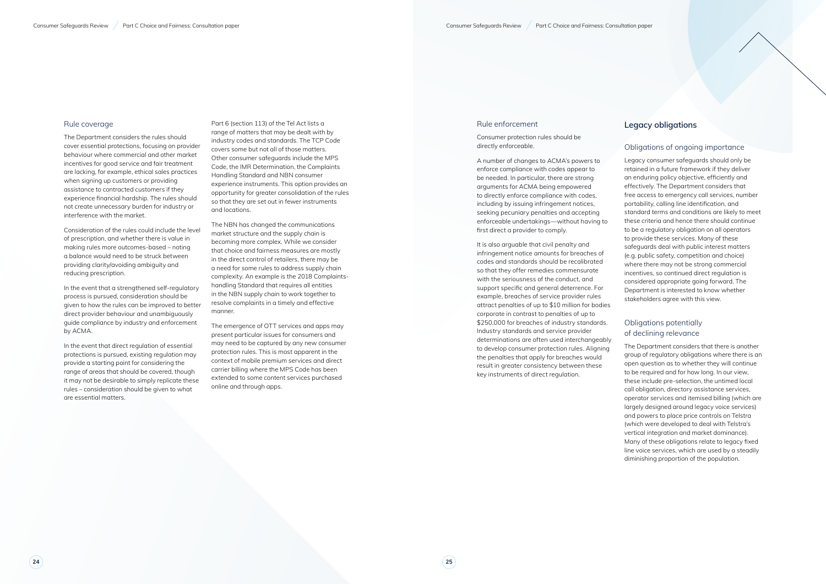#### Rule coverage

The Department considers the rules should cover essential protections, focusing on provider behaviour where commercial and other market incentives for good service and fair treatment are lacking, for example, ethical sales practices when signing up customers or providing assistance to contracted customers if they experience financial hardship. The rules should not create unnecessary burden for industry or interference with the market.

Consideration of the rules could include the level of prescription, and whether there is value in making rules more outcomes-based – noting a balance would need to be struck between providing clarity/avoiding ambiguity and reducing prescription.

In the event that a strengthened self-regulatory process is pursued, consideration should be given to how the rules can be improved to better direct provider behaviour and unambiguously guide compliance by industry and enforcement by ACMA.

In the event that direct regulation of essential protections is pursued, existing regulation may provide a starting point for considering the range of areas that should be covered, though it may not be desirable to simply replicate these rules – consideration should be given to what are essential matters.

Part 6 (section 113) of the Tel Act lists a range of matters that may be dealt with by industry codes and standards. The TCP Code covers some but not all of those matters. Other consumer safeguards include the MPS Code, the IMR Determination, the Complaints Handling Standard and NBN consumer experience instruments. This option provides an opportunity for greater consolidation of the rules so that they are set out in fewer instruments and locations.

The NBN has changed the communications market structure and the supply chain is becoming more complex. While we consider that choice and fairness measures are mostly in the direct control of retailers, there may be a need for some rules to address supply chain complexity. An example is the 2018 Complaintshandling Standard that requires all entities in the NBN supply chain to work together to resolve complaints in a timely and effective manner.

The emergence of OTT services and apps may present particular issues for consumers and may need to be captured by any new consumer protection rules. This is most apparent in the context of mobile premium services and direct carrier billing where the MPS Code has been extended to some content services purchased online and through apps.

#### Rule enforcement

Consumer protection rules should be directly enforceable.

A number of changes to ACMA's powers to enforce compliance with codes appear to be needed. In particular, there are strong arguments for ACMA being empowered to directly enforce compliance with codes, including by issuing infringement notices, seeking pecuniary penalties and accepting enforceable undertakings—without having to first direct a provider to comply.

It is also arguable that civil penalty and infringement notice amounts for breaches of codes and standards should be recalibrated so that they offer remedies commensurate with the seriousness of the conduct, and support specific and general deterrence. For example, breaches of service provider rules attract penalties of up to \$10 million for bodies corporate in contrast to penalties of up to \$250,000 for breaches of industry standards. Industry standards and service provider determinations are often used interchangeably to develop consumer protection rules. Aligning the penalties that apply for breaches would result in greater consistency between these key instruments of direct regulation.

#### **Legacy obligations**

#### Obligations of ongoing importance

Legacy consumer safeguards should only be retained in a future framework if they deliver an enduring policy objective, efficiently and effectively. The Department considers that free access to emergency call services, number portability, calling line identification, and standard terms and conditions are likely to meet these criteria and hence there should continue to be a regulatory obligation on all operators to provide these services. Many of these safeguards deal with public interest matters (e.g. public safety, competition and choice) where there may not be strong commercial incentives, so continued direct regulation is considered appropriate going forward. The Department is interested to know whether stakeholders agree with this view.

#### Obligations potentially of declining relevance

The Department considers that there is another group of regulatory obligations where there is an open question as to whether they will continue to be required and for how long. In our view, these include pre-selection, the untimed local call obligation, directory assistance services, operator services and itemised billing (which are largely designed around legacy voice services) and powers to place price controls on Telstra (which were developed to deal with Telstra's vertical integration and market dominance). Many of these obligations relate to legacy fixed line voice services, which are used by a steadily diminishing proportion of the population.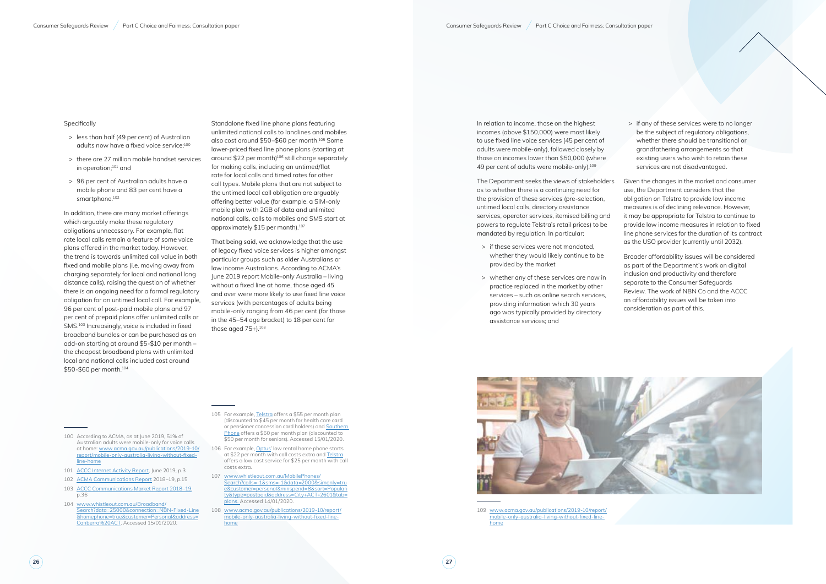- > less than half (49 per cent) of Australian adults now have a fixed voice service;<sup>100</sup>
- > there are 27 million mobile handset services in operation;101 and
- > 96 per cent of Australian adults have a mobile phone and 83 per cent have a smartphone.<sup>102</sup>

#### Specifically

In addition, there are many market offerings which arguably make these regulatory obligations unnecessary. For example, flat rate local calls remain a feature of some voice plans offered in the market today. However, the trend is towards unlimited call value in both fixed and mobile plans (i.e. moving away from charging separately for local and national long distance calls), raising the question of whether there is an ongoing need for a formal regulatory obligation for an untimed local call. For example, 96 per cent of post-paid mobile plans and 97 per cent of prepaid plans offer unlimited calls or SMS.103 Increasingly, voice is included in fixed broadband bundles or can be purchased as an add-on starting at around \$5-\$10 per month – the cheapest broadband plans with unlimited local and national calls included cost around \$50-\$60 per month.104

That being said, we acknowledge that the use of legacy fixed voice services is higher amongst particular groups such as older Australians or low income Australians. According to ACMA's June 2019 report Mobile-only Australia – living without a fixed line at home, those aged 45 and over were more likely to use fixed line voice services (with percentages of adults being mobile-only ranging from 46 per cent (for those in the 45–54 age bracket) to 18 per cent for those aged  $75+1.108$ 

- 100 According to ACMA, as at June 2019, 51% of Australian adults were mobile-only for voice calls at home: [www.acma.gov.au/publications/2019-10/](http://www.acma.gov.au/publications/2019-10/report/mobile-only-australia-living-without-fixed-line-home) [report/mobile-only-australia-living-without-fixed](http://www.acma.gov.au/publications/2019-10/report/mobile-only-australia-living-without-fixed-line-home)[line-home](http://www.acma.gov.au/publications/2019-10/report/mobile-only-australia-living-without-fixed-line-home)
- 101 [ACCC Internet Activity Report](https://www.accc.gov.au/system/files/Internet%20Activity%20Report%20%28June%202019%29.pdf), June 2019, p.3
- 102 [ACMA Communications Report 2018–19,](https://www.acma.gov.au/publications/2020-02/report/communications-report-2018-19) p.15
- 103 [ACCC Communications Market Report 2018–19,](https://www.accc.gov.au/system/files/Communications%20Market%20Report%202018-19%20-%20December%202019_D07.pdf) p.36
- 104 [www.whistleout.com.au/Broadband/](http://www.whistleout.com.au/Broadband/Search?data=25000&connection=NBN-Fixed-Line&homephone=true&customer=Personal&address=Canberra%20ACT) [Search?data=25000&connection=NBN-Fixed-Line](http://www.whistleout.com.au/Broadband/Search?data=25000&connection=NBN-Fixed-Line&homephone=true&customer=Personal&address=Canberra%20ACT) [&homephone=true&customer=Personal&address=](http://www.whistleout.com.au/Broadband/Search?data=25000&connection=NBN-Fixed-Line&homephone=true&customer=Personal&address=Canberra%20ACT) [Canberra%20ACT](http://www.whistleout.com.au/Broadband/Search?data=25000&connection=NBN-Fixed-Line&homephone=true&customer=Personal&address=Canberra%20ACT). Accessed 15/01/2020.

In relation to income, those on the highest incomes (above \$150,000) were most likely to use fixed line voice services (45 per cent of adults were mobile-only), followed closely by those on incomes lower than \$50,000 (where 49 per cent of adults were mobile-only).<sup>109</sup>

Standalone fixed line phone plans featuring unlimited national calls to landlines and mobiles also cost around \$50–\$60 per month.105 Some lower-priced fixed line phone plans (starting at around \$22 per month)106 still charge separately for making calls, including an untimed/flat rate for local calls and timed rates for other call types. Mobile plans that are not subject to the untimed local call obligation are arguably offering better value (for example, a SIM-only mobile plan with 2GB of data and unlimited national calls, calls to mobiles and SMS start at approximately \$15 per month).107

105 For example, [Telstra](https://www.telstra.com.au/home-phone) offers a \$55 per month plan (discounted to \$45 per month for health care card or pensioner concession card holders) and [Southern](https://www.southernphone.com.au/Next-Home-Phone-Plans)  [Phone](https://www.southernphone.com.au/Next-Home-Phone-Plans) offers a \$60 per month plan (discounted to \$50 per month for seniors). Accessed 15/01/2020.

- 106 For example, [Optus'](https://www.optus.com.au/shop/home-phone/plans) low rental home phone starts at \$22 per month with call costs extra and [Telstra](https://www.telstra.com.au/home-phone) offers a low cost service for \$25 per month with call costs extra.
- 107 [www.whistleout.com.au/MobilePhones/](http://www.whistleout.com.au/MobilePhones/Search?calls=-1&sms=-1&data=2000&simonly=true&customer=personal&minspend=8&sort=Popularity&type=postpaid&address=City+ACT+2601&tab=plans) [Search?calls=-1&sms=-1&data=2000&simonly=tru](http://www.whistleout.com.au/MobilePhones/Search?calls=-1&sms=-1&data=2000&simonly=true&customer=personal&minspend=8&sort=Popularity&type=postpaid&address=City+ACT+2601&tab=plans) [e&customer=personal&minspend=8&sort=Populari](http://www.whistleout.com.au/MobilePhones/Search?calls=-1&sms=-1&data=2000&simonly=true&customer=personal&minspend=8&sort=Popularity&type=postpaid&address=City+ACT+2601&tab=plans) [ty&type=postpaid&address=City+ACT+2601&tab=](http://www.whistleout.com.au/MobilePhones/Search?calls=-1&sms=-1&data=2000&simonly=true&customer=personal&minspend=8&sort=Popularity&type=postpaid&address=City+ACT+2601&tab=plans) [plans](http://www.whistleout.com.au/MobilePhones/Search?calls=-1&sms=-1&data=2000&simonly=true&customer=personal&minspend=8&sort=Popularity&type=postpaid&address=City+ACT+2601&tab=plans). Accessed 14/01/2020.
- 108 [www.acma.gov.au/publications/2019-10/report/](http://www.acma.gov.au/publications/2019-10/report/mobile-only-australia-living-without-fixed-line-home) [mobile-only-australia-living-without-fixed-line](http://www.acma.gov.au/publications/2019-10/report/mobile-only-australia-living-without-fixed-line-home)[home](http://www.acma.gov.au/publications/2019-10/report/mobile-only-australia-living-without-fixed-line-home)

The Department seeks the views of stakeholders as to whether there is a continuing need for the provision of these services (pre-selection, untimed local calls, directory assistance services, operator services, itemised billing and powers to regulate Telstra's retail prices) to be mandated by regulation. In particular:

- > if these services were not mandated, whether they would likely continue to be provided by the market
- > whether any of these services are now in practice replaced in the market by other services – such as online search services, providing information which 30 years ago was typically provided by directory assistance services; and



109 [www.acma.gov.au/publications/2019-10/report/](http://www.acma.gov.au/publications/2019-10/report/mobile-only-australia-living-without-fixed-line-home) [mobile-only-australia-living-without-fixed-line](http://www.acma.gov.au/publications/2019-10/report/mobile-only-australia-living-without-fixed-line-home)[home](http://www.acma.gov.au/publications/2019-10/report/mobile-only-australia-living-without-fixed-line-home)

> if any of these services were to no longer be the subject of regulatory obligations, whether there should be transitional or grandfathering arrangements so that existing users who wish to retain these services are not disadvantaged.

Given the changes in the market and consumer use, the Department considers that the obligation on Telstra to provide low income measures is of declining relevance. However, it may be appropriate for Telstra to continue to provide low income measures in relation to fixed line phone services for the duration of its contract as the USO provider (currently until 2032).

Broader affordability issues will be considered as part of the Department's work on digital inclusion and productivity and therefore separate to the Consumer Safeguards Review. The work of NBN Co and the ACCC on affordability issues will be taken into consideration as part of this.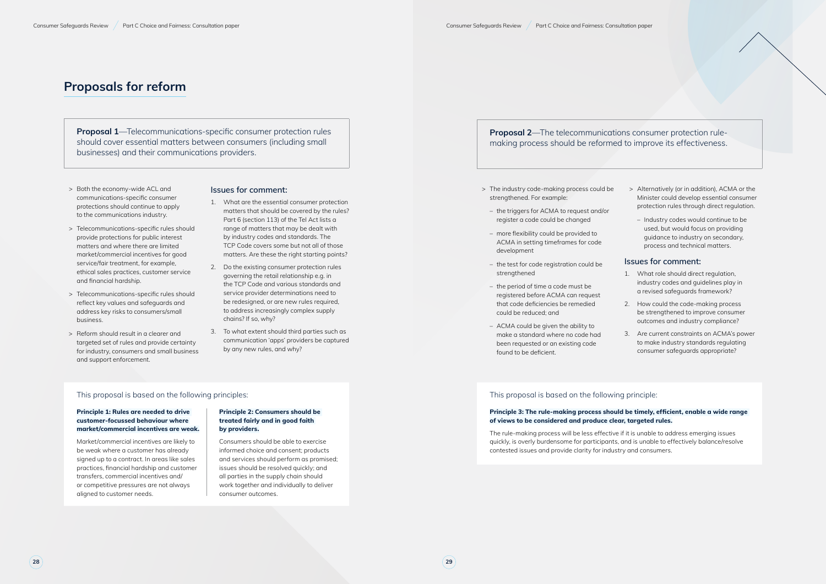### **Proposals for reform**

**Proposal 1**—Telecommunications-specific consumer protection rules should cover essential matters between consumers (including small businesses) and their communications providers.

- > Both the economy-wide ACL and communications-specific consumer protections should continue to apply to the communications industry.
- > Telecommunications-specific rules should provide protections for public interest matters and where there are limited market/commercial incentives for good service/fair treatment, for example, ethical sales practices, customer service and financial hardship.
- > Telecommunications-specific rules should reflect key values and safeguards and address key risks to consumers/small business.
- > Reform should result in a clearer and targeted set of rules and provide certainty for industry, consumers and small business and support enforcement.

#### **Issues for comment:**

- 1. What are the essential consumer protection matters that should be covered by the rules? Part 6 (section 113) of the Tel Act lists a range of matters that may be dealt with by industry codes and standards. The TCP Code covers some but not all of those matters. Are these the right starting points?
- 2. Do the existing consumer protection rules governing the retail relationship e.g. in the TCP Code and various standards and service provider determinations need to be redesigned, or are new rules required, to address increasingly complex supply chains? If so, why?
- 3. To what extent should third parties such as communication 'apps' providers be captured by any new rules, and why?

#### This proposal is based on the following principles:

#### **Principle 1: Rules are needed to drive customer-focussed behaviour where market/commercial incentives are weak.**

Market/commercial incentives are likely to be weak where a customer has already signed up to a contract. In areas like sales practices, financial hardship and customer transfers, commercial incentives and/ or competitive pressures are not always aligned to customer needs.

#### **Principle 2: Consumers should be treated fairly and in good faith by providers.**

Consumers should be able to exercise informed choice and consent; products and services should perform as promised; issues should be resolved quickly; and all parties in the supply chain should work together and individually to deliver consumer outcomes.

### **Proposal 2**—The telecommunications consumer protection rulemaking process should be reformed to improve its effectiveness.

- > The industry code-making process could be strengthened. For example:
- the triggers for ACMA to request and/or register a code could be changed
- more flexibility could be provided to ACMA in setting timeframes for code development
- the test for code registration could be strengthened
- the period of time a code must be registered before ACMA can request that code deficiencies be remedied could be reduced; and
- ACMA could be given the ability to make a standard where no code had been requested or an existing code found to be deficient.
- > Alternatively (or in addition), ACMA or the Minister could develop essential consumer protection rules through direct regulation.
	- Industry codes would continue to be used, but would focus on providing guidance to industry on secondary, process and technical matters.

#### **Issues for comment:**

- 1. What role should direct regulation, industry codes and guidelines play in a revised safeguards framework?
- 2. How could the code-making process be strengthened to improve consumer outcomes and industry compliance?
- 3. Are current constraints on ACMA's power to make industry standards regulating consumer safeguards appropriate?

#### This proposal is based on the following principle:

#### **Principle 3: The rule-making process should be timely, efficient, enable a wide range of views to be considered and produce clear, targeted rules.**

The rule-making process will be less effective if it is unable to address emerging issues quickly, is overly burdensome for participants, and is unable to effectively balance/resolve contested issues and provide clarity for industry and consumers.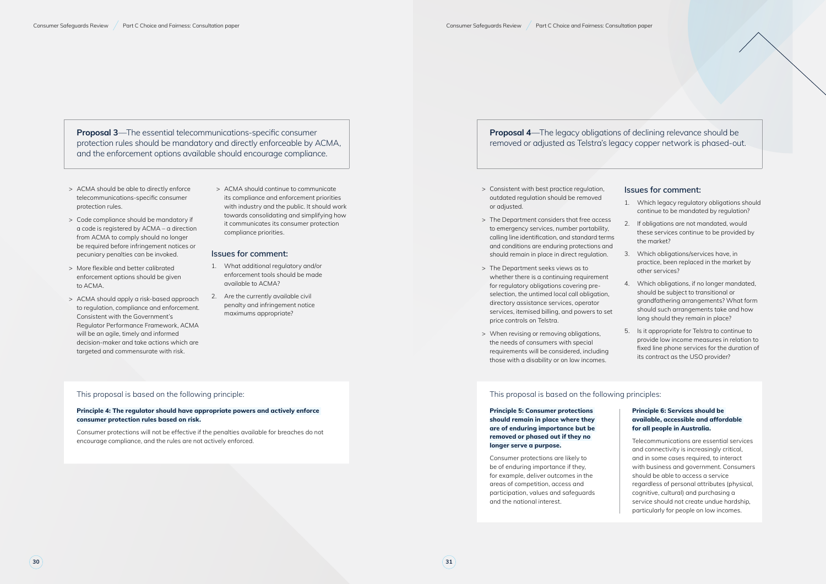**Proposal 3**—The essential telecommunications-specific consumer protection rules should be mandatory and directly enforceable by ACMA, and the enforcement options available should encourage compliance.

- > ACMA should be able to directly enforce telecommunications-specific consumer protection rules.
- > Code compliance should be mandatory if a code is registered by ACMA – a direction from ACMA to comply should no longer be required before infringement notices or pecuniary penalties can be invoked.
- > More flexible and better calibrated enforcement options should be given to ACMA.
- > ACMA should apply a risk-based approach to regulation, compliance and enforcement. Consistent with the Government's Regulator Performance Framework, ACMA will be an agile, timely and informed decision-maker and take actions which are targeted and commensurate with risk.

> ACMA should continue to communicate its compliance and enforcement priorities with industry and the public. It should work towards consolidating and simplifying how it communicates its consumer protection compliance priorities.

#### **Issues for comment:**

- 1. What additional regulatory and/or enforcement tools should be made available to ACMA?
- 2. Are the currently available civil penalty and infringement notice maximums appropriate?

#### This proposal is based on the following principle:

#### **Principle 4: The regulator should have appropriate powers and actively enforce consumer protection rules based on risk.**

Consumer protections will not be effective if the penalties available for breaches do not encourage compliance, and the rules are not actively enforced.

### **Proposal 4**—The legacy obligations of declining relevance should be removed or adjusted as Telstra's legacy copper network is phased-out.

- > Consistent with best practice regulation, outdated regulation should be removed or adjusted.
- > The Department considers that free access to emergency services, number portability, calling line identification, and standard terms and conditions are enduring protections and should remain in place in direct regulation.
- > The Department seeks views as to whether there is a continuing requirement for regulatory obligations covering preselection, the untimed local call obligation, directory assistance services, operator services, itemised billing, and powers to set price controls on Telstra.
- > When revising or removing obligations, the needs of consumers with special requirements will be considered, including those with a disability or on low incomes.

#### **Issues for comment:**

- 1. Which legacy regulatory obligations should continue to be mandated by regulation?
- 2. If obligations are not mandated, would these services continue to be provided by the market?
- 3. Which obligations/services have, in practice, been replaced in the market by other services?
- 4. Which obligations, if no longer mandated, should be subject to transitional or grandfathering arrangements? What form should such arrangements take and how long should they remain in place?
- 5. Is it appropriate for Telstra to continue to provide low income measures in relation to fixed line phone services for the duration of its contract as the USO provider?

### This proposal is based on the following principles:

**Principle 5: Consumer protections should remain in place where they are of enduring importance but be removed or phased out if they no longer serve a purpose.**

Consumer protections are likely to be of enduring importance if they, for example, deliver outcomes in the areas of competition, access and participation, values and safeguards and the national interest.

#### **Principle 6: Services should be available, accessible and affordable for all people in Australia.**

Telecommunications are essential services and connectivity is increasingly critical, and in some cases required, to interact with business and government. Consumers should be able to access a service regardless of personal attributes (physical, cognitive, cultural) and purchasing a service should not create undue hardship, particularly for people on low incomes.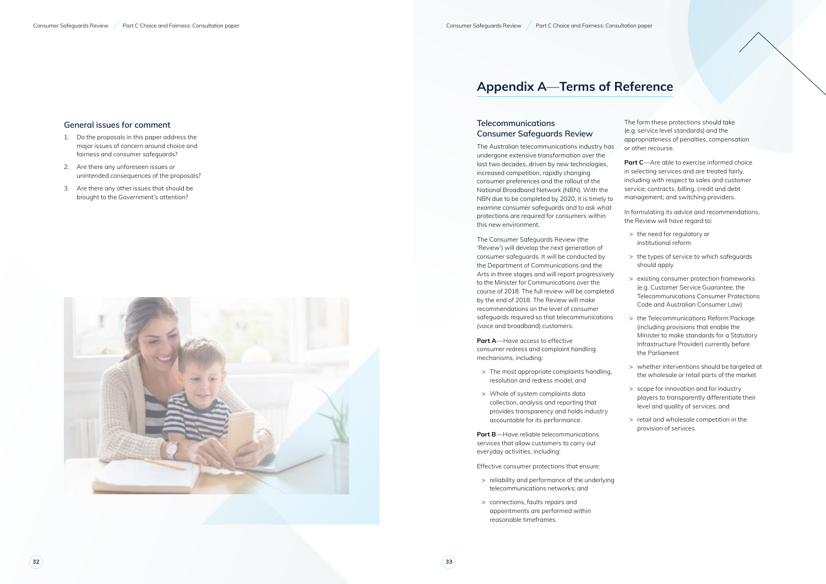**32 33**

#### **General issues for comment**

- 1. Do the proposals in this paper address the major issues of concern around choice and fairness and consumer safeguards?
- 2. Are there any unforeseen issues or unintended consequences of the proposals?
- 3. Are there any other issues that should be brought to the Government's attention?



## **Appendix A** —**Terms of Reference**

### **Telecommunications Consumer Safeguards Review**

The Australian telecommunications industry has undergone extensive transformation over the last two decades, driven by new technologies, increased competition, rapidly changing consumer preferences and the rollout of the National Broadband Network (NBN). With the NBN due to be completed by 2020, it is timely to examine consumer safeguards and to ask what protections are required for consumers within this new environment.

The Consumer Safeguards Review (the 'Review') will develop the next generation of consumer safeguards. It will be conducted by the Department of Communications and the Arts in three stages and will report progressively to the Minister for Communications over the course of 2018. The full review will be completed by the end of 2018. The Review will make recommendations on the level of consumer safeguards required so that telecommunications (voice and broadband) customers:

**Part A**—Have access to effective consumer redress and complaint handling mechanisms, including:

- > The most appropriate complaints handling, resolution and redress model; and
- > Whole of system complaints data collection, analysis and reporting that provides transparency and holds industry accountable for its performance.

**Part B**—Have reliable telecommunications services that allow customers to carry out everyday activities, including:

Effective consumer protections that ensure:

- > reliability and performance of the underlying telecommunications networks; and
- > connections, faults repairs and appointments are performed within reasonable timeframes.

The form these protections should take (e.g. service level standards) and the appropriateness of penalties, compensation or other recourse.

**Part C**—Are able to exercise informed choice in selecting services and are treated fairly, including with respect to sales and customer service; contracts, billing, credit and debt management; and switching providers.

In formulating its advice and recommendations, the Review will have regard to:

- > the need for regulatory or institutional reform
- > the types of service to which safeguards should apply
- > existing consumer protection frameworks (e.g. Customer Service Guarantee, the Telecommunications Consumer Protections Code and Australian Consumer Law)
- > the Telecommunications Reform Package (including provisions that enable the Minister to make standards for a Statutory Infrastructure Provider) currently before the Parliament
- > whether interventions should be targeted at the wholesale or retail parts of the market
- > scope for innovation and for industry players to transparently differentiate their level and quality of services; and
- > retail and wholesale competition in the provision of services.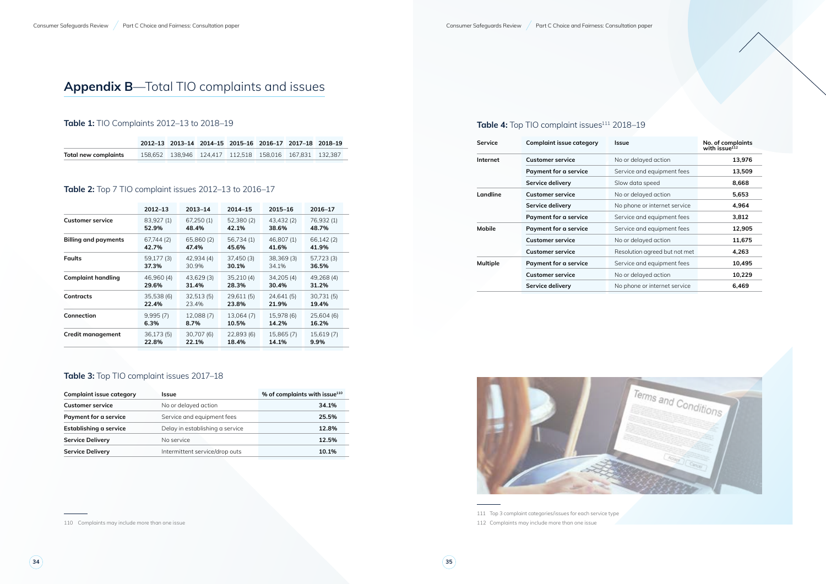## **Appendix B**—Total TIO complaints and issues

### **Table 1:** TIO Complaints 2012–13 to 2018–19

|                      | 2012-13 2013-14 2014-15 2015-16 2016-17 2017-18 2018-19       |  |  |  |
|----------------------|---------------------------------------------------------------|--|--|--|
| Total new complaints | 158.652  138.946  124.417  112.518  158.016  167.831  132.387 |  |  |  |

### **Table 2:** Top 7 TIO complaint issues 2012–13 to 2016–17

|                             | $2012 - 13$ | $2013 - 14$ | $2014 - 15$ | 2015-16    | 2016-17    |
|-----------------------------|-------------|-------------|-------------|------------|------------|
| <b>Customer service</b>     | 83,927 (1)  | 67,250 (1)  | 52,380 (2)  | 43,432 (2) | 76,932 (1) |
|                             | 52.9%       | 48.4%       | 42.1%       | 38.6%      | 48.7%      |
| <b>Billing and payments</b> | 67,744 (2)  | 65,860 (2)  | 56,734 (1)  | 46,807 (1) | 66,142 (2) |
|                             | 42.7%       | 47.4%       | 45.6%       | 41.6%      | 41.9%      |
| <b>Faults</b>               | 59,177 (3)  | 42,934 (4)  | 37,450(3)   | 38,369(3)  | 57,723 (3) |
|                             | 37.3%       | 30.9%       | 30.1%       | 34.1%      | 36.5%      |
| <b>Complaint handling</b>   | 46,960 (4)  | 43,629 (3)  | 35,210(4)   | 34,205(4)  | 49,268 (4) |
|                             | 29.6%       | 31.4%       | 28.3%       | 30.4%      | 31.2%      |
| Contracts                   | 35,538 (6)  | 32,513(5)   | 29,611 (5)  | 24,641 (5) | 30,731 (5) |
|                             | 22.4%       | 23.4%       | 23.8%       | 21.9%      | 19.4%      |
| Connection                  | 9,995(7)    | 12,088 (7)  | 13,064 (7)  | 15,978 (6) | 25,604 (6) |
|                             | 6.3%        | 8.7%        | 10.5%       | 14.2%      | 16.2%      |
| <b>Credit management</b>    | 36,173(5)   | 30,707 (6)  | 22,893 (6)  | 15,865 (7) | 15,619 (7) |
|                             | 22.8%       | 22.1%       | 18.4%       | 14.1%      | 9.9%       |

### **Table 3:** Top TIO complaint issues 2017–18

| <b>Complaint issue category</b> | <b>Issue</b>                    | % of complaints with issue <sup>110</sup> |
|---------------------------------|---------------------------------|-------------------------------------------|
| <b>Customer service</b>         | No or delayed action            | 34.1%                                     |
| Payment for a service           | Service and equipment fees      | 25.5%                                     |
| Establishing a service          | Delay in establishing a service | 12.8%                                     |
| <b>Service Delivery</b>         | No service                      | 12.5%                                     |
| <b>Service Delivery</b>         | Intermittent service/drop outs  | 10.1%                                     |

110 Complaints may include more than one issue

### Table 4: Top TIO complaint issues<sup>111</sup> 2018-19

| <b>Service</b>  | <b>Complaint issue category</b> | <b>Issue</b>                  | No. of complaints<br>with issue <sup>112</sup> |
|-----------------|---------------------------------|-------------------------------|------------------------------------------------|
| Internet        | <b>Customer service</b>         | No or delayed action          | 13,976                                         |
|                 | Payment for a service           | Service and equipment fees    | 13,509                                         |
|                 | Service delivery                | Slow data speed               | 8,668                                          |
| Landline        | <b>Customer service</b>         | No or delayed action          | 5,653                                          |
|                 | Service delivery                | No phone or internet service  | 4,964                                          |
|                 | Payment for a service           | Service and equipment fees    | 3,812                                          |
| <b>Mobile</b>   | Payment for a service           | Service and equipment fees    | 12,905                                         |
|                 | <b>Customer service</b>         | No or delayed action          | 11,675                                         |
|                 | <b>Customer service</b>         | Resolution agreed but not met | 4,263                                          |
| <b>Multiple</b> | <b>Payment for a service</b>    | Service and equipment fees    | 10,495                                         |
|                 | <b>Customer service</b>         | No or delayed action          | 10,229                                         |
|                 | Service delivery                | No phone or internet service  | 6,469                                          |
|                 |                                 |                               |                                                |



111 Top 3 complaint categories/issues for each service type 112 Complaints may include more than one issue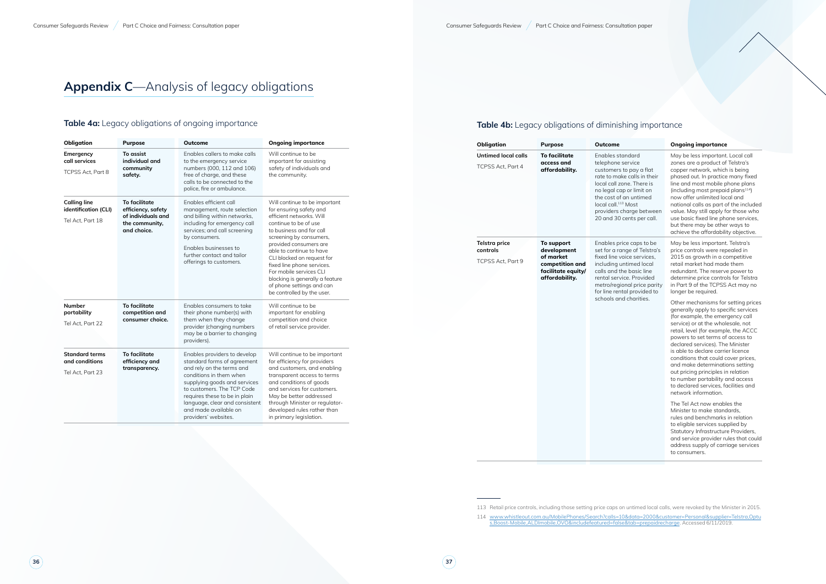## **Appendix C**—Analysis of legacy obligations

### **Table 4a:** Legacy obligations of ongoing importance

| Obligation                                                      | <b>Purpose</b>                                                                                    | <b>Outcome</b>                                                                                                                                                                                                                                                                                        | <b>Ongoing importance</b>                                                                                                                                                                                                                                                                                                                                                                                       |  |  |
|-----------------------------------------------------------------|---------------------------------------------------------------------------------------------------|-------------------------------------------------------------------------------------------------------------------------------------------------------------------------------------------------------------------------------------------------------------------------------------------------------|-----------------------------------------------------------------------------------------------------------------------------------------------------------------------------------------------------------------------------------------------------------------------------------------------------------------------------------------------------------------------------------------------------------------|--|--|
| Emergency<br>call services<br>TCPSS Act, Part 8                 | To assist<br>individual and<br>community<br>safety.                                               | Enables callers to make calls<br>to the emergency service<br>numbers (000, 112 and 106)<br>free of charge, and these<br>calls to be connected to the<br>police, fire or ambulance.                                                                                                                    | Will continue to be<br>important for assisting<br>safety of individuals and<br>the community.                                                                                                                                                                                                                                                                                                                   |  |  |
| <b>Calling line</b><br>identification (CLI)<br>Tel Act, Part 18 | <b>To facilitate</b><br>efficiency, safety<br>of individuals and<br>the community,<br>and choice. | Enables efficient call<br>management, route selection<br>and billing within networks,<br>including for emergency call<br>services; and call screening<br>by consumers.<br>Enables businesses to<br>further contact and tailor<br>offerings to customers.                                              | Will continue to be important<br>for ensuring safety and<br>efficient networks. Will<br>continue to be of use<br>to business and for call<br>screening by consumers,<br>provided consumers are<br>able to continue to have<br>CLI blocked on request for<br>fixed line phone services.<br>For mobile services CLI<br>blocking is generally a feature<br>of phone settings and can<br>be controlled by the user. |  |  |
| <b>Number</b><br>portability<br>Tel Act, Part 22                | To facilitate<br>competition and<br>consumer choice.                                              | Enables consumers to take<br>their phone number(s) with<br>them when they change<br>provider (changing numbers<br>may be a barrier to changing<br>providers).                                                                                                                                         | Will continue to be<br>important for enabling<br>competition and choice<br>of retail service provider.                                                                                                                                                                                                                                                                                                          |  |  |
| <b>Standard terms</b><br>and conditions<br>Tel Act, Part 23     | <b>To facilitate</b><br>efficiency and<br>transparency.                                           | Enables providers to develop<br>standard forms of agreement<br>and rely on the terms and<br>conditions in them when<br>supplying goods and services<br>to customers. The TCP Code<br>requires these to be in plain<br>language, clear and consistent<br>and made available on<br>providers' websites. | Will continue to be important<br>for efficiency for providers<br>and customers, and enabling<br>transparent access to terms<br>and conditions of goods<br>and services for customers.<br>May be better addressed<br>through Minister or regulator-<br>developed rules rather than<br>in primary legislation.                                                                                                    |  |  |

### **Table 4b:** Legacy obligations of diminishing importance

| Obligation                                             | <b>Purpose</b>                                                                                    | Outcome                                                                                                                                                                                                                                                                        | <b>Ongoing importance</b>                                                                                                                                                                                                                                                                                                                                                                                                                                                                                                                                                                                                                                                                                                                                                                                                                                                                                                                                                                                                                                                                    |
|--------------------------------------------------------|---------------------------------------------------------------------------------------------------|--------------------------------------------------------------------------------------------------------------------------------------------------------------------------------------------------------------------------------------------------------------------------------|----------------------------------------------------------------------------------------------------------------------------------------------------------------------------------------------------------------------------------------------------------------------------------------------------------------------------------------------------------------------------------------------------------------------------------------------------------------------------------------------------------------------------------------------------------------------------------------------------------------------------------------------------------------------------------------------------------------------------------------------------------------------------------------------------------------------------------------------------------------------------------------------------------------------------------------------------------------------------------------------------------------------------------------------------------------------------------------------|
| <b>Untimed local calls</b><br><b>TCPSS Act. Part 4</b> | <b>To facilitate</b><br>access and<br>affordability.                                              | Enables standard<br>telephone service<br>customers to pay a flat<br>rate to make calls in their<br>local call zone. There is<br>no legal cap or limit on<br>the cost of an untimed<br>local call. <sup>113</sup> Most<br>providers charge between<br>20 and 30 cents per call. | May be less important. Local call<br>zones are a product of Telstra's<br>copper network, which is being<br>phased out. In practice many fixed<br>line and most mobile phone plans<br>(including most prepaid plans <sup>114</sup> )<br>now offer unlimited local and<br>national calls as part of the included<br>value. May still apply for those who<br>use basic fixed line phone services,<br>but there may be other ways to<br>achieve the affordability objective.                                                                                                                                                                                                                                                                                                                                                                                                                                                                                                                                                                                                                     |
| <b>Telstra price</b><br>controls<br>TCPSS Act, Part 9  | To support<br>development<br>of market<br>competition and<br>facilitate equity/<br>affordability. | Enables price caps to be<br>set for a range of Telstra's<br>fixed line voice services,<br>including untimed local<br>calls and the basic line<br>rental service. Provided<br>metro/regional price parity<br>for line rental provided to<br>schools and charities.              | May be less important. Telstra's<br>price controls were repealed in<br>2015 as growth in a competitive<br>retail market had made them<br>redundant. The reserve power to<br>determine price controls for Telstra<br>in Part 9 of the TCPSS Act may no<br>longer be required.<br>Other mechanisms for setting prices<br>generally apply to specific services<br>(for example, the emergency call<br>service) or at the wholesale, not<br>retail, level (for example, the ACCC<br>powers to set terms of access to<br>declared services). The Minister<br>is able to declare carrier licence<br>conditions that could cover prices,<br>and make determinations setting<br>out pricing principles in relation<br>to number portability and access<br>to declared services, facilities and<br>network information.<br>The Tel Act now enables the<br>Minister to make standards.<br>rules and benchmarks in relation<br>to eligible services supplied by<br>Statutory Infrastructure Providers,<br>and service provider rules that could<br>address supply of carriage services<br>to consumers. |

113 Retail price controls, including those setting price caps on untimed local calls, were revoked by the Minister in 2015.

114 [www.whistleout.com.au/MobilePhones/Search?calls=10&data=2000&customer=Personal&supplier=Telstra,Optu](http://www.whistleout.com.au/MobilePhones/Search?calls=10&data=2000&customer=Personal&supplier=Telstra,Optus,Boost-Mobile,ALDImobile,OVO&includefeatured=false&tab=prepaidrecharge) [s,Boost-Mobile,ALDImobile,OVO&includefeatured=false&tab=prepaidrecharge.](http://www.whistleout.com.au/MobilePhones/Search?calls=10&data=2000&customer=Personal&supplier=Telstra,Optus,Boost-Mobile,ALDImobile,OVO&includefeatured=false&tab=prepaidrecharge) Accessed 6/11/2019.